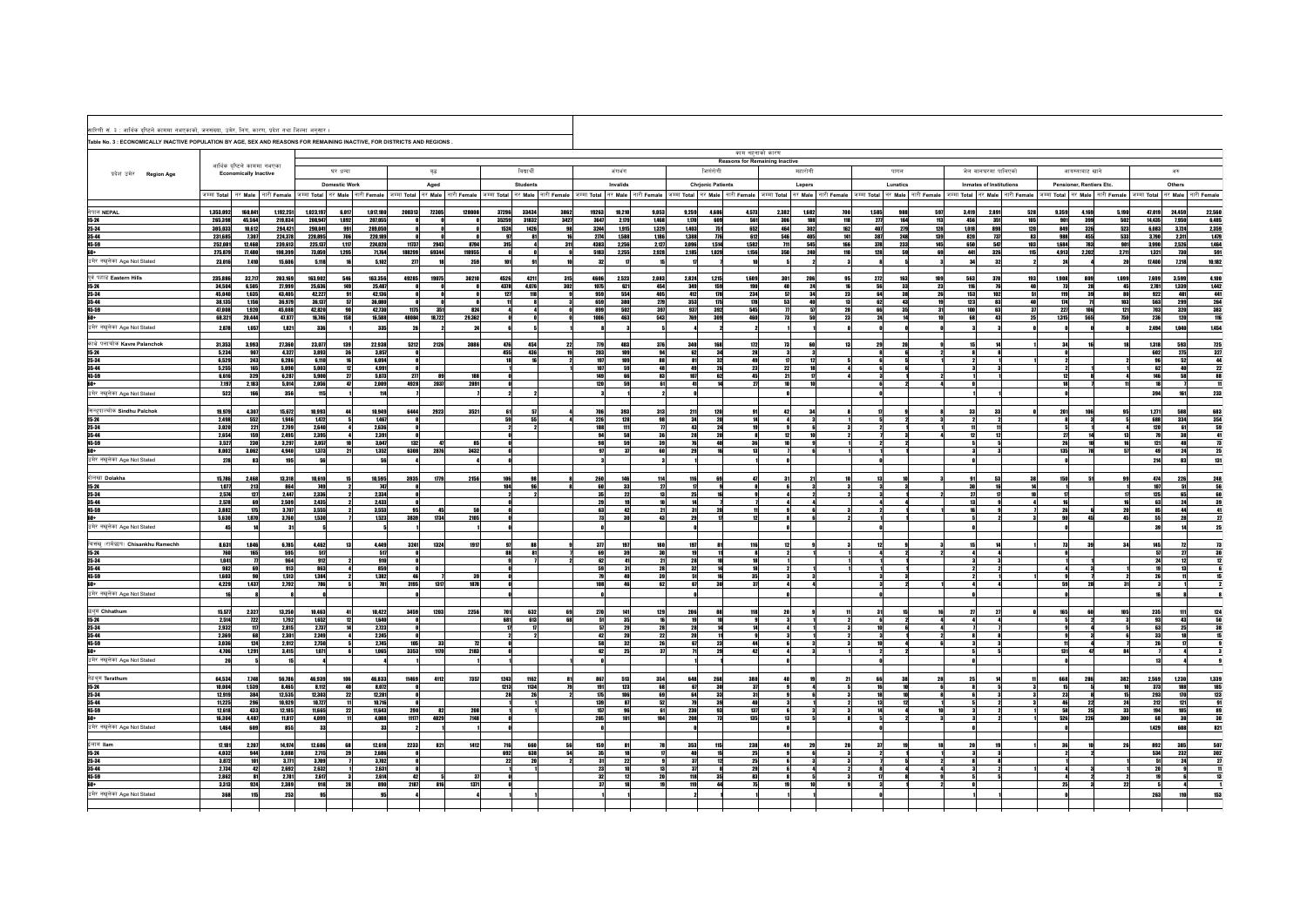| सारिणी सं. ३ : आर्थिक दृष्टिले काममा नभएकाको, जनसंख्या, उमेर, लिंग, कारण, प्रदेश तथा जिल्ला अनुसार ।                       |                    |                                                             |                    |                    |               |                    |                                                                                                   |              |                    |                                                                             |                        |                 |                |                          |                |                          |                 |                                       |            |            |                                                                                                                      |                   |                        |                         |                  |              |                          |                               |                                                                                                                      |
|----------------------------------------------------------------------------------------------------------------------------|--------------------|-------------------------------------------------------------|--------------------|--------------------|---------------|--------------------|---------------------------------------------------------------------------------------------------|--------------|--------------------|-----------------------------------------------------------------------------|------------------------|-----------------|----------------|--------------------------|----------------|--------------------------|-----------------|---------------------------------------|------------|------------|----------------------------------------------------------------------------------------------------------------------|-------------------|------------------------|-------------------------|------------------|--------------|--------------------------|-------------------------------|----------------------------------------------------------------------------------------------------------------------|
| Table No. 3 : ECONOMICALLY INACTIVE POPULATION BY AGE, SEX AND REASONS FOR REMAINING INACTIVE, FOR DISTRICTS AND REGIONS . |                    |                                                             |                    |                    |               |                    |                                                                                                   |              |                    |                                                                             |                        |                 |                |                          |                |                          |                 |                                       |            |            |                                                                                                                      |                   |                        |                         |                  |              |                          |                               |                                                                                                                      |
|                                                                                                                            |                    |                                                             |                    |                    |               |                    |                                                                                                   |              |                    |                                                                             |                        |                 |                |                          |                |                          | काम नहनाको कारण | <b>Reasons for Remaining Inactive</b> |            |            |                                                                                                                      |                   |                        |                         |                  |              |                          |                               |                                                                                                                      |
| प्रदेश उमेर Region Age                                                                                                     |                    | आर्थिक दृष्टिले काममा नभएका<br><b>Economically Inactive</b> |                    |                    | घर धन्दा      |                    |                                                                                                   | वृद्ध        |                    | विद्यार्थी                                                                  |                        |                 | अंगभंग         |                          |                | जिणरोगी                  |                 |                                       | महारोगी    |            | पागल                                                                                                                 |                   |                        | जेल वालघरमा पालिएको     |                  |              | आयस्ताबाट खाने           |                               | अरु                                                                                                                  |
|                                                                                                                            |                    |                                                             |                    |                    | Domestic Work |                    |                                                                                                   | Aged         |                    | Students                                                                    |                        |                 | Invalids       |                          |                | <b>Chrionic Patients</b> |                 |                                       | Lepers     |            | Lunatics                                                                                                             |                   |                        | Inmates of Institutions |                  |              | Pensioner, Rentiers Etc. |                               | Others                                                                                                               |
|                                                                                                                            |                    |                                                             |                    |                    |               |                    | जम्मा Total   नर Male   नारी Female   जम्मा Total   नर Male   नारी Female   जम्मा Total   नर Male |              | नारी <b>Female</b> | जम्मा Total नर Male नारी Female जम्मा Total नर Male नारी Female जम्मा Total |                        |                 |                |                          |                |                          |                 |                                       |            |            | नर Male नारी Female जिम्मा Total नर Male नारी Female जम्मा Total नर Male नारी Female जम्मा Total नर Male नारी Female |                   |                        |                         |                  |              |                          |                               | जम्मा Total नर Male नारी Female जम्मा Total नर Male नारी Female                                                      |
| नेपाल NEPAL                                                                                                                | 1,353,092          | 160,841                                                     | 1,192,251          | 1,023,197          | 6.017         | 1,017,180          | 200313                                                                                            | 72305        | 12800              | 33434<br>37296                                                              | 3862                   | 19263           | 10,210         | 9,053                    | 9,259          | 4,686                    | 4,573           | 2,382                                 | 1.682      |            | 1,585                                                                                                                | 988<br>597        | 3,419                  | 2,891                   | 52               | 9,359        | 4,169                    | 5,190<br>47.019               | 24,459                                                                                                               |
| $15 - 24$<br>25-34                                                                                                         | 265,398<br>305,033 | 45,564<br>10.612                                            | 219,834<br>294.421 | 208,947<br>290.041 | 1.892<br>991  | 207.055<br>289.050 |                                                                                                   |              |                    | 35259<br>31832<br>1524<br>1426                                              | 3427<br>98             | 3647<br>3244    | 2.179<br>1.915 | 1,468<br>1,329           | 1,170<br>1,403 | 609<br>751               | 561<br>652      | 306<br>464                            | 181<br>302 | 118<br>162 | $2\pi$<br>407                                                                                                        | 164<br>279<br>128 | 113<br>456<br>1.018    | 351<br>898              | 105<br>120       | 901<br>849   | 399<br>326               | 14,435<br>502<br>523<br>6,083 | $\begin{array}{r}\n 22,560 \\  \hline\n 6,485 \\  \hline\n 2,359 \\  \hline\n 1,479\n \end{array}$<br>7,950<br>3.724 |
| 35-44<br>45-59                                                                                                             | 231,685<br>252.081 | 7,307<br>12,468                                             | 224,378<br>239,613 | 220,895<br>225.137 | 706<br>1,117  | 220,189<br>224,020 | 11737                                                                                             | 2943         | 8794               | 97<br>315                                                                   | 81<br>16<br>311        | 2774<br>4383    | 1,588<br>2,256 | 1,186<br>2,127           | 1,388<br>3,096 | 776<br>1,514             | 612<br>1582     | 546<br>711                            | 405<br>545 | 141<br>166 | 387<br>378                                                                                                           | 248<br>139<br>233 | 820<br>145<br>650      | 737<br>547              | 83<br>103        | 988<br>1.684 | 455<br>783               | 533<br>3,790<br>901<br>3,990  | 2,311<br>2,526                                                                                                       |
| 60+                                                                                                                        | 275,879            | 77.480                                                      | 198,399            | 73,059             | 1,295         | 71,764             |                                                                                                   | 188299 69344 | 118955             |                                                                             |                        | 5183            | 2,255          | 2,928                    | 2,185          | 1,029                    | 1,156           | 350                                   | 240        | 110        | 128                                                                                                                  | 59                | 69<br>441              | 326                     | 115              | 4,913        | 2,202                    | 2.711<br>1,321                | 1,464<br>591<br>10,182<br>730                                                                                        |
| उमेर नखुलेका Age Not Stated                                                                                                | 23,016             | 7,410                                                       | 15,606             | 5,118              |               | 5,102              | $2\pi$                                                                                            |              | 259                | 101                                                                         | 91                     | 32              |                |                          |                |                          |                 |                                       |            |            |                                                                                                                      |                   | 24                     | 32                      |                  | 24           |                          | 20<br>17,400                  | 7,218                                                                                                                |
| पूर्व पहाड Eastern Hills<br>$15 - 24$                                                                                      | 235,886<br>34,504  | 32,717<br>6.505                                             | 203,169<br>27.999  | 163,902<br>25.636  | 546<br>149    | 163,356<br>25,487  | 49285<br>- ni                                                                                     | 19075<br>- 8 | 30210              | 4526<br>4378<br>4.076                                                       | 4211<br>315<br>302     | 4606<br>1075    | 2,523<br>621   | 2,083<br>454             | 2,824<br>349   | 1,215<br>159             | 1,609<br>190    | 301<br><b>An</b>                      | 20<br>24   |            | 272<br>56                                                                                                            | 163<br>109<br>33  | 563<br>23<br>116       | 370<br>76               | 193<br><b>AR</b> | 1,908<br>73  | 809<br>28                | 1,099<br>7,699<br>45<br>2,781 | 3,599<br>1,339                                                                                                       |
| 25-34                                                                                                                      | 45,040             | 1,635                                                       | 43,405             | 42,227             | 91            | 42,136             |                                                                                                   |              |                    | 127                                                                         | 118                    | 959             | 554            | 405                      | 412            | 178                      | 234             | 57                                    | 34         | 23         | 64                                                                                                                   | 38                | 26<br>153              | 102                     |                  | 119          | -39                      | 80<br>922                     | 481                                                                                                                  |
| 35-44<br>45-59                                                                                                             | 38,135<br>47,008   | 1,156<br>1,920                                              | 36,979<br>45.088   | 36,137<br>42.820   |               | 36,080<br>42.730   | 1175                                                                                              | 351          | 824                |                                                                             |                        | 659<br>899      | 380<br>502     | 279<br>397               | 353<br>937     | 175<br>392               | 178<br>545      | 53                                    |            | 20         | 62<br>66                                                                                                             | 43<br>35          | 19<br>123<br>31<br>100 | 83<br>63                |                  | 174<br>227   | 106                      | 103<br>563<br>121<br>703      | 4,100<br>1442<br>441<br>264<br>383<br>116<br>299<br>320                                                              |
| 60<br>उमेर नखुलेका Age Not Stated                                                                                          | 68,321             | 20,444                                                      | 47,877             | 16,746             | 158           | 16,588             | 48084<br>26                                                                                       | 18,722       | 29,362             |                                                                             |                        | 1006            | 463            | 543                      | 769            | 309                      | 460             | 73                                    |            | 23         | 24                                                                                                                   |                   | 10 <sup>1</sup><br>68  | 43                      |                  | 1,315        | 565                      | 750<br>236                    | 120<br>1,040                                                                                                         |
|                                                                                                                            | 2,878              | 1,057                                                       | 1,821              | 336                |               | 335                |                                                                                                   |              |                    |                                                                             |                        |                 |                |                          |                |                          |                 |                                       |            |            |                                                                                                                      |                   |                        |                         |                  |              |                          | 2,494                         | 1,454                                                                                                                |
| काभ्रे पलांचोक Kavre Palanchok<br>$15 - 24$                                                                                | 31,353<br>5.234    | 3,993<br>907                                                | 27,360<br>4.327    | 23,077<br>3.893    | 139<br>36     | 22.938<br>3.857    | 5212<br>- ni                                                                                      | 2126         | 3086               | 476<br>455                                                                  | 454<br>22<br>436<br>19 | $\eta_9$<br>203 | 483<br>109     | 376<br>94                | 340<br>62      | 168<br>34                | $112$<br>28     |                                       |            |            | 29<br>8I                                                                                                             | 20<br>-6          | 21                     |                         |                  | 34<br>nl     |                          | 1,318<br>602                  | $\frac{725}{327}$<br>593<br>275                                                                                      |
| $25 - 34$<br>35-44                                                                                                         | 6,529<br>5,255     | 243<br>165                                                  | 6,286<br>5.090     | 6.110<br>5.003     |               | 6,094<br>4.991     |                                                                                                   |              |                    |                                                                             |                        | 197<br>107      | 109<br>59      | 88<br>48                 | 81<br>49       | 32<br>26                 | 23              | 22                                    |            |            |                                                                                                                      |                   |                        |                         |                  |              |                          | 96<br>62                      | $\begin{array}{r} 44 \\ 22 \\ 88 \\ \hline 11 \end{array}$<br>52<br>40                                               |
| 45-59<br>60+                                                                                                               | 6,616<br>7,197     | 329<br>2,183                                                | 6,287<br>5,014     | 5,900<br>2,056     |               | 5,873<br>2,009     | $2\pi$<br>4928                                                                                    | 89<br>2037   | 189<br>2891        |                                                                             |                        | 149<br>120      | 66<br>59       | 83<br>61                 | 107            | 62<br>14                 | 45              | 21                                    |            |            |                                                                                                                      |                   |                        |                         |                  | 12           |                          | 146                           | 58                                                                                                                   |
| उमेर नखुलेका Age Not Stated                                                                                                | 522                | 166                                                         | 356                | 115                |               | 114                |                                                                                                   |              |                    |                                                                             |                        |                 |                |                          |                |                          |                 |                                       |            |            |                                                                                                                      |                   |                        |                         |                  |              |                          | 394                           | 233<br>161                                                                                                           |
| सिन्धपाल्चोक Sindhu Palchok                                                                                                | 19,979             | 4,307                                                       | 15,672             | 10,993             |               | 10,949             |                                                                                                   | 6444 2923    | 3521               |                                                                             | 51                     | 706             | 393            | 313                      | 211            | 120                      |                 |                                       |            |            |                                                                                                                      |                   |                        | 33                      |                  | 201          |                          | 1,271                         | 588                                                                                                                  |
| $15 - 24$<br>25-34                                                                                                         | 2,498<br>3,020     | 552<br>221                                                  | 1.946<br>2,799     | 1,472<br>2,640     |               | 1,467<br>2,636     |                                                                                                   |              |                    | 59                                                                          | 55                     | 226<br>188      | 128<br>111     | 98<br>$\boldsymbol{\pi}$ | 34<br>42       | 20<br>24                 |                 |                                       |            |            |                                                                                                                      |                   |                        |                         |                  |              |                          | 688<br>120                    | 334<br>61                                                                                                            |
| 35-44                                                                                                                      | 2,654              | 159                                                         | 2,495              | 2,395<br>3.057     |               | 2,391<br>3,047     |                                                                                                   |              |                    |                                                                             |                        | 94              | 58             | 36                       |                | 20                       |                 |                                       |            |            |                                                                                                                      |                   |                        | 12                      |                  | 27           |                          | 13<br>79                      | 38                                                                                                                   |
| 45-59<br>60+                                                                                                               | 3,527<br>8,002     | 230<br>3.062                                                | 3,297<br>4,940     | 1.373              | 21            | 1.352              | 132<br>6308                                                                                       | 47<br>2876   | 3432               |                                                                             |                        | 98<br>- 97      | 59<br>m        | 39<br><b>GO</b>          | 29             | 40<br>$\overline{16}$    | 36<br>12        |                                       |            |            |                                                                                                                      |                   |                        |                         |                  | 26<br>135    |                          | 121<br>16<br>57<br>49         | 683<br>354<br>59<br>41<br>73<br>25<br>48<br>24                                                                       |
| उमेर नखुलेका Age Not Stated                                                                                                | 278                | 83                                                          | 195                | 56                 |               | 56                 |                                                                                                   |              |                    |                                                                             |                        |                 |                |                          |                |                          |                 |                                       |            |            |                                                                                                                      |                   |                        |                         |                  |              |                          | 214                           | 131<br>83                                                                                                            |
| दोलखा Dolakha                                                                                                              | 15,786             | 2,468                                                       | 13,318             | 10.610             |               | 10,595             | 3935                                                                                              | 1779         | 2156               | 106                                                                         | 98                     | 260             | 146            | 114                      | 116            | 69                       |                 |                                       |            |            | 13                                                                                                                   |                   |                        | 53                      |                  | 150          |                          | 474<br>99                     | 248<br>56<br>226                                                                                                     |
| 15-24<br>25-34                                                                                                             | 1,077<br>2,574     | 213<br>127                                                  | 864<br>2,447       | 749<br>2,336       |               | 747<br>2,334       |                                                                                                   |              |                    | 104                                                                         | 96                     | 60<br>35        | 33<br>22       | 27<br>13                 | 25             |                          |                 |                                       |            |            | -31                                                                                                                  | $\mathbf{a}$      | 30                     | 16                      |                  |              |                          | 107<br>125                    | 51<br>60<br>65                                                                                                       |
| 35-44<br>45-59                                                                                                             | 2.578<br>3,882     | 69<br>175                                                   | 2.509<br>3,707     | 2.435<br>3,555     |               | 2,433<br>3,553     | 95                                                                                                | 45           |                    |                                                                             |                        | 29<br>63        | 19<br>42       | 21                       | 31             | 20                       |                 |                                       |            |            |                                                                                                                      |                   |                        |                         |                  | 26           |                          | 63<br>16<br>85<br>20          | 24<br>44                                                                                                             |
| 60+<br>उमेर नखुलेका Age Not Stated                                                                                         | 5,630              | 1,870                                                       | 3,760              | 1,530              |               | 1,523              | 3839                                                                                              | 1734         | 2105               |                                                                             |                        | 73              | 30             | 43                       | 29             | 17                       |                 |                                       |            |            |                                                                                                                      |                   |                        |                         |                  | 90           |                          | 55<br>45                      | $\overline{\mathbf{z}}$<br>28                                                                                        |
|                                                                                                                            |                    |                                                             |                    |                    |               |                    |                                                                                                   |              |                    |                                                                             |                        |                 |                |                          |                |                          |                 |                                       |            |            |                                                                                                                      |                   |                        |                         |                  |              |                          |                               |                                                                                                                      |
| चिसंखु (रामेछाप) Chisankhu Ramechh<br>$15 - 24$                                                                            | 8,631<br>760       | 1.846<br>165                                                | 6.785<br>595       | 4,462<br>517       |               | 4,449<br>517       | 3241                                                                                              | 1324         | 191                | 88                                                                          | 88<br>81               | 3T<br>69        | 197<br>39      | 180<br>38                |                | 11                       |                 |                                       |            |            |                                                                                                                      |                   |                        |                         |                  |              |                          | 145<br>57                     | 27                                                                                                                   |
| 25-34<br>35-44                                                                                                             | 1,041<br>982       | $\boldsymbol{\eta}$<br>69                                   | 964<br>913         | 912<br>863         |               | 910<br>859         |                                                                                                   |              |                    |                                                                             |                        | 62<br>59        | 41<br>31       | $\overline{21}$<br>28    | 28<br>32       | 10 <sup>1</sup><br>14    |                 |                                       |            |            |                                                                                                                      |                   |                        |                         |                  |              |                          | 24                            | - 12<br>13                                                                                                           |
| 45-59                                                                                                                      | 1.603              | 90                                                          | 1,513              | 1,384              |               | 1,382              | 46                                                                                                |              |                    |                                                                             |                        | 79              | 40             | 39                       | 51             | 16                       | 35              |                                       |            |            |                                                                                                                      |                   |                        |                         |                  |              |                          | 26                            |                                                                                                                      |
| 60<br>उमेर नखुलेका Age Not Stated                                                                                          | 4,229              | 1,437                                                       | 2,792              | 786                |               | 781                | 3195                                                                                              | 1317         | 1878               |                                                                             |                        | 108             | 46             | 62                       | 67             | 30                       | 37              |                                       |            |            | -31                                                                                                                  |                   |                        |                         |                  | 59           | 28                       | 31                            |                                                                                                                      |
| छथुम Chhathum                                                                                                              | 15.577             | 2.327                                                       | 13.250             | 10,463             |               | 10,422             | 3459                                                                                              |              | 2256               | 701                                                                         | 632<br>69              |                 | 141            | 129                      | 206            | 88                       | 118             | 28                                    |            |            | 31                                                                                                                   | 15                | 16                     | 27                      |                  | 165          |                          | 235<br>105                    | 111                                                                                                                  |
| 15-24                                                                                                                      | 2,514              | 722                                                         | 1,792              | 1,652              |               | 1,640              |                                                                                                   | 1203         |                    | 681                                                                         | 613<br>68              | 270<br>51       | 35             | 16                       |                | 10                       |                 |                                       |            |            |                                                                                                                      |                   |                        |                         |                  |              |                          | 93                            | 124<br>43                                                                                                            |
| 25-34<br>35-44                                                                                                             | 2,932<br>2,369     | 117<br>68                                                   | 2.815<br>2,301     | 2.737<br>2,249     |               | 2.723<br>2,245     |                                                                                                   |              |                    |                                                                             |                        | 42              | 29<br>20       | 28<br>22                 |                | 14<br>11                 |                 |                                       |            |            |                                                                                                                      |                   |                        |                         |                  |              |                          | 63<br>33                      | 50<br>38<br>15<br>25                                                                                                 |
| 45-59<br>60+                                                                                                               | 3,036<br>4,706     | 124<br>1,291                                                | 2,912<br>3.415     | 2,750<br>1.071     |               | 2,745<br>1.065     | 105<br>3353                                                                                       | 33<br>1170   | 2183               |                                                                             |                        | 58<br>62        | 32<br>25       | 26<br>- 37               | 67<br>71       | 23<br>29                 | 44<br>42        |                                       |            |            |                                                                                                                      |                   |                        |                         |                  | 131          |                          | 26<br><b>RA</b>               |                                                                                                                      |
| उमेर नखुलेका Age Not Stated                                                                                                |                    |                                                             |                    |                    |               |                    |                                                                                                   |              |                    |                                                                             |                        |                 |                |                          |                |                          |                 |                                       |            |            |                                                                                                                      |                   |                        |                         |                  |              |                          |                               |                                                                                                                      |
| तेइथ्म Terathum                                                                                                            | 64,534             | 7,748                                                       | 56,786             | 46,939             |               | 46,833             | 11469                                                                                             | 4112         | 7357               | 1243                                                                        | 1162                   | 867             | 513            | 354                      | 648            | 268                      | 380             |                                       |            |            | 66                                                                                                                   | 38                | 28                     |                         |                  | 668          | 286                      | 382<br>2,569                  | 1,339<br>1,230                                                                                                       |
| $15 - 24$<br>$25 - 34$                                                                                                     | 10,004<br>12,919   | 1,539<br>384                                                | 8.465<br>12,535    | 8.112<br>12,303    | 40            | 8.072<br>12,281    |                                                                                                   |              |                    | 1213<br>1134<br>28                                                          | 26                     | 191<br>175      | 123<br>106     | 68<br>69                 | 67<br>64       | 30<br>33                 | 37<br>31        |                                       |            |            | 16<br>18                                                                                                             | 10<br>10          |                        |                         |                  | 15<br>23     |                          | 10<br>373<br>15<br>293        | 188<br>170                                                                                                           |
| 35-44                                                                                                                      | 11,225             | 296                                                         | 10.929             | 10.727             |               | 10,716             |                                                                                                   |              |                    |                                                                             |                        | 139             | 87             |                          |                |                          |                 |                                       |            |            |                                                                                                                      |                   |                        |                         |                  | 46           |                          | 212<br>24                     | 121                                                                                                                  |
| 45-59<br>60+                                                                                                               | 12,618<br>16,304   | 433<br>4,487                                                | 12.185<br>11,817   | 11.665<br>4,099    |               | 11,643<br>4,088    | 290<br>11177                                                                                      | 82<br>4029   | 208<br>7148        |                                                                             |                        | 157<br>205      | 96<br>101      | 61<br>184                | 230<br>208     | 93<br>73                 | 137<br>135      |                                       |            |            |                                                                                                                      |                   |                        |                         |                  | 58<br>526    | 226                      | 33<br>194<br>68<br>300        | 185<br>123<br>91<br>89<br>30<br>105<br>38                                                                            |
| उमेर नखुलेका Age Not Stated                                                                                                | 1,464              | 609                                                         | 855                | 33                 |               | 33                 |                                                                                                   |              |                    |                                                                             |                        |                 |                |                          |                |                          |                 |                                       |            |            |                                                                                                                      |                   |                        |                         |                  |              |                          | 1,429                         | 608<br>821                                                                                                           |
| ईलाम llam                                                                                                                  | 17,181             | 2,207                                                       | 14,974             | 12,686             |               | 12,618             | 2233                                                                                              | 821          | 1412               | 716<br>660                                                                  | 56                     | 159             | 81             |                          | 353            | 115                      | 238             | 49                                    |            |            | $\boldsymbol{\pi}$                                                                                                   |                   |                        |                         |                  | 36           |                          | 892                           | 385                                                                                                                  |
| $15 - 24$<br>25-34                                                                                                         | 4,032<br>3,872     | 944<br>101                                                  | 3,088<br>3.771     | 2,715<br>3.709     |               | 2,686<br>3.702     |                                                                                                   |              |                    | 692<br>22                                                                   | 638<br>54<br>20        | 35<br>31        | 18<br>22       | $\mathbf{u}$             | 37             | 15<br>12                 | 25<br>25        |                                       |            |            |                                                                                                                      |                   |                        |                         |                  |              |                          | 534<br>51                     | $\begin{array}{r} 507 \\ 302 \\ 27 \\ 11 \\ 13 \end{array}$<br>232<br>24                                             |
| 35-44<br>45-59                                                                                                             | 2.734<br>2,862     | 42<br>81                                                    | 2,692<br>2,781     | 2.632<br>2,617     |               | 2,631<br>2,614     | 42                                                                                                |              |                    |                                                                             |                        | 23<br>32        | 10<br>12       | 13                       | 37<br>118      | 35                       |                 |                                       |            |            | 17I                                                                                                                  |                   |                        |                         |                  |              |                          |                               |                                                                                                                      |
| 60+                                                                                                                        | 3,313              | 924                                                         | 2,389              | 918                | 28            | 890                | 2187                                                                                              | 816          | 1371               |                                                                             |                        | - 37            | 18             | 19                       | 119            | 44                       | 75              | 19                                    |            |            | 3                                                                                                                    |                   | 2                      |                         |                  | 25           |                          | - 22                          |                                                                                                                      |
| उमेर नखुलेका Age Not Stated                                                                                                | 368                | 115                                                         | 253                | $\overline{a}$     |               | 95                 |                                                                                                   |              |                    |                                                                             |                        |                 |                |                          |                |                          |                 |                                       |            |            |                                                                                                                      |                   |                        |                         |                  |              |                          | 263                           | 153<br>110 <sup>1</sup>                                                                                              |
|                                                                                                                            |                    |                                                             |                    |                    |               |                    |                                                                                                   |              |                    |                                                                             |                        |                 |                |                          |                |                          |                 |                                       |            |            |                                                                                                                      |                   |                        |                         |                  |              |                          |                               |                                                                                                                      |

 $\overline{ }$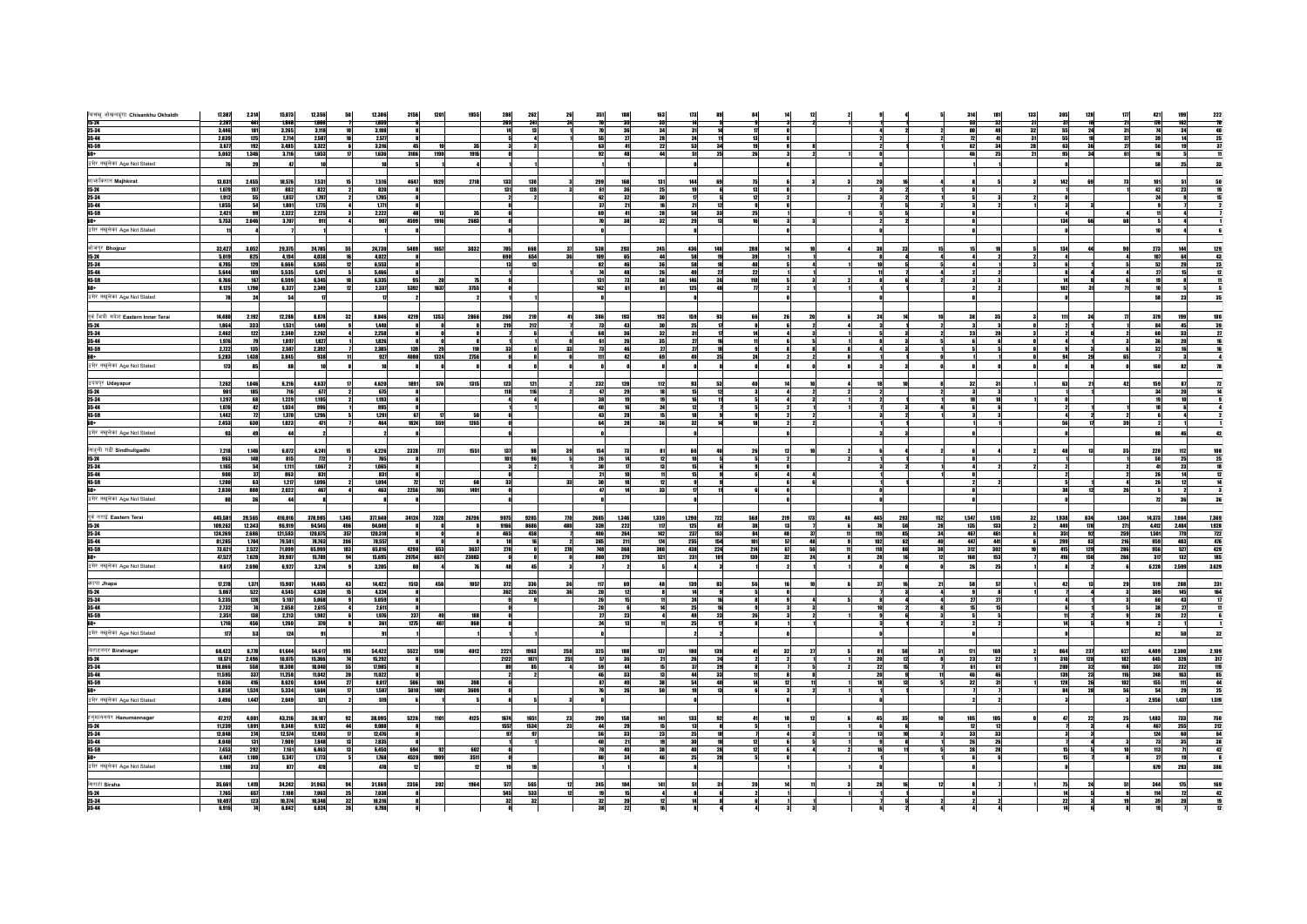|                                                           | 17,387         | 2,314                                                       | 15,073         | 12,356       |              | 12,306         |                 |              |       |                    |      |     |      |                |                 |              |              |        |     |     |             |     |       |       |             |                   |                 | 421    | 199               |                                                         |
|-----------------------------------------------------------|----------------|-------------------------------------------------------------|----------------|--------------|--------------|----------------|-----------------|--------------|-------|--------------------|------|-----|------|----------------|-----------------|--------------|--------------|--------|-----|-----|-------------|-----|-------|-------|-------------|-------------------|-----------------|--------|-------------------|---------------------------------------------------------|
| चिसंखु ओखलढुंगा Chisankhu Okhaldh<br><b>15-24</b>         | 2,287          | 441                                                         | 1,846          | 1,666        |              | 1,659          |                 |              |       |                    |      |     |      |                |                 |              |              |        |     |     |             |     |       |       |             |                   |                 | 1/8    | 102               | $\begin{array}{r} \n 222 \\  \hline\n 76\n \end{array}$ |
| 25-34                                                     | 3,446          | 181                                                         | 3,265          | 3,118        |              | 3,108          |                 |              |       |                    |      |     |      |                |                 |              |              |        |     |     |             |     |       |       |             |                   | 31              |        | 34                |                                                         |
| $35 - 44$                                                 | 2,839          | 125                                                         | 2,714          | 2,587        |              | 2,577          |                 |              |       |                    |      |     |      |                | 28              |              |              |        |     |     |             |     |       |       | 55          |                   | $\overline{37}$ |        |                   | $\frac{40}{25}$                                         |
| 45-59                                                     | 3,677          |                                                             | 3,485          | 3,322        |              | 3,316          |                 |              |       |                    |      |     |      |                |                 | 53           |              | 19     |     |     |             |     |       |       | 63          | 36                |                 |        |                   | 31                                                      |
| 60+                                                       | 5,062          | $\frac{192}{1,346}$                                         | 3,716          | 1,653        |              | 1,636          | 3106            | 1190         | 1916  |                    |      |     |      | 92<br>48       | $\frac{22}{44}$ | 51           | 25<br>26     |        |     |     |             |     |       |       |             |                   |                 |        |                   |                                                         |
| उमेर नखुलेका Age Not Stated                               |                | 29                                                          | $\overline{a}$ |              |              |                |                 |              |       |                    |      |     |      |                |                 |              |              |        |     |     |             |     |       |       |             |                   |                 | 58     | 25                |                                                         |
|                                                           |                |                                                             |                |              |              |                |                 |              |       |                    |      |     |      |                |                 |              |              |        |     |     |             |     |       |       |             |                   |                 |        |                   |                                                         |
| मार्फाकरात Majhkirat                                      | 13,031         |                                                             | 10,576         | 7,531        |              | 7,516          | 4647            |              |       | 133                | 130  |     |      | 299<br>168     | 131             | 144          |              |        |     |     |             |     |       |       | 142         | 69                | 73              | 101    |                   |                                                         |
|                                                           |                | 2,455                                                       |                |              | 15           |                |                 | 1929         | 2718  |                    |      |     |      |                |                 |              | 69           | 75     |     |     |             |     |       |       |             |                   |                 |        |                   | 50                                                      |
| $15 - 24$                                                 | 1,079          | 197                                                         | 882            | 822          |              | 820            |                 |              |       | 131                | 128  |     |      | 61<br>36       | 25              | 19           |              | 13     |     |     |             |     |       |       |             |                   |                 | 42     | 23                |                                                         |
| 25-34                                                     | 1,912<br>1.855 | 55<br>54                                                    | 1,857          | 1,797<br>175 |              | 1,795<br>1.771 |                 |              |       |                    |      |     |      | 62<br>32       | 16              |              |              | 12     |     |     |             |     |       |       |             |                   |                 |        |                   |                                                         |
| 35-44<br>45-59                                            |                |                                                             | 1.801          |              |              |                |                 |              |       |                    |      |     |      | 21<br>37       |                 | 21           | 12           |        |     |     |             |     |       |       |             |                   |                 |        |                   |                                                         |
|                                                           | 2,421<br>5,753 | 99                                                          | 2,322          | 2,225        |              | 2,222          | 48              | 1916         | 35    |                    |      |     |      | 41<br>69<br>70 | 28<br>32        | 58           | 33<br>13     | 25     |     |     |             |     |       |       |             | 66                | 68              |        |                   |                                                         |
| <mark>60+</mark><br>उमेर नखुलेका Age Not Stated           |                | 2,046                                                       | 3,707          | 911          |              | 907            | 4599            |              | 2683  |                    |      |     |      | 38             |                 | 29           |              | 16     |     |     |             |     |       |       | 134         |                   |                 |        |                   |                                                         |
|                                                           |                |                                                             |                |              |              |                |                 |              |       |                    |      |     |      |                |                 |              |              |        |     |     |             |     |       |       |             |                   |                 |        |                   |                                                         |
|                                                           |                |                                                             |                |              |              |                |                 |              |       |                    |      |     |      |                |                 |              |              |        |     |     |             |     |       |       |             |                   |                 |        |                   |                                                         |
| भोजपुर Bhojpur<br><b>15-24</b>                            | 32,427         | 3,052                                                       | 29,375         | 24,785       | 55           | 24,730         | 5489            | 1657         | 3832  | 705                | 668  |     | 538  | 293            | 245             | 436          | 148<br>288   |        |     |     | 23          |     |       |       | 134         |                   |                 | 273    | 144               | 129                                                     |
|                                                           | 5,019          | 825                                                         | 4,194          | 4,038        |              | 4.022          |                 |              |       | 690                | 654  |     |      | 65<br>109      | 44              | 58           | 19           | 39     |     |     |             |     |       |       |             |                   |                 | 107    | 64                | 43                                                      |
| 25-34                                                     | 6,795          | 129                                                         | 6.666          | 6,565        |              | 6,553          |                 |              |       |                    |      |     |      | 82<br>46       | 36              | 58           | 18           | 40     |     |     |             |     |       |       |             |                   |                 | 52     | 29                |                                                         |
| 35-44                                                     | 5,644          | 109                                                         | 5,535          | 5,471        |              | 5,466          |                 |              |       |                    |      |     |      | 48             | 26              | 49           | - 27         | 22     |     |     |             |     |       |       |             |                   |                 | 27     |                   | $\frac{23}{12}$                                         |
|                                                           | 6,766          | 167                                                         | 6,599          | 6,345        |              | 6,335          | 95              |              |       |                    |      |     |      | 131<br>- 73    | 58              | 146          | 36           | 110    |     |     |             |     |       |       |             | 14 I              |                 | 19     |                   |                                                         |
|                                                           | 8,125          | 1,798                                                       | 6,327          | 2,349        | 12           | 2,337          | 5392            | 1637         | 3755  |                    |      |     |      | 142<br>61      | 81              | 125          | 48           | $\eta$ |     |     |             |     |       |       | 102         | 31                | 71              | 10     |                   |                                                         |
| <b>45-59</b><br><b>60+</b><br>उमेर नखुलेका Age Not Stated |                | 24                                                          | 54             | 17           |              |                |                 |              |       |                    |      |     |      |                |                 |              |              |        |     |     |             |     |       |       |             |                   |                 | 58     | 23                | 35                                                      |
|                                                           |                |                                                             |                |              |              |                |                 |              |       |                    |      |     |      |                |                 |              |              |        |     |     |             |     |       |       |             |                   |                 |        |                   |                                                         |
|                                                           |                |                                                             |                |              |              |                |                 |              |       |                    |      |     |      |                |                 |              |              |        |     |     |             |     |       |       |             |                   |                 |        |                   |                                                         |
| पूर्व भित्री मदेश Eastern Inner Terai                     | 14,480         | 2,192                                                       | 12,288         | 8,878        | 32           | 8,846          | 4219            | 1353         | 2866  | 260                | 219  |     | 386  | 193            | 193             | 159          | 93           | 66     |     |     |             |     | 38    |       | 111         | 34                |                 | 379    | 199               | 180                                                     |
| 15-24                                                     | 1,864          | 333                                                         | 1.531          | 1,449        |              | 1,448          |                 |              |       | 219                | 212  |     |      | 73<br>43       | 30              | 25           |              | - 81   |     |     |             |     |       |       |             |                   |                 | 84     | 45                | 39                                                      |
| $25 - 34$                                                 | 2,462          | 122                                                         | 2,340          | 2,262        |              | 2,258          |                 |              |       |                    |      |     |      | 36<br>68       | 32              | 31           |              | 14     |     |     |             |     | 23    |       |             |                   |                 |        | 33                |                                                         |
| 35-44<br>45-59                                            | 1,976          | 79                                                          | 1,897          | 1,827        |              | 1.826          |                 |              |       |                    |      |     |      | 61<br>26       | 35              | 27           |              | 11     |     |     |             |     |       |       |             |                   |                 | 36     |                   |                                                         |
|                                                           | 2,722          | 135                                                         | 2.587          | 2,392        |              | 2,385          | 139             | 29           | 110   | 33                 |      |     | 33   | 73<br>46       | 27              | $\mathbf{z}$ | 18           | 9      |     |     |             |     |       |       | sal         |                   |                 | 32     |                   |                                                         |
|                                                           | 5,283          | 1,438                                                       | 3,845          | 938          |              | 927            | 4080            | 1324         | 2756  |                    |      |     |      | m<br>42        | 69              | 49           | 25           | 24     |     |     |             |     |       |       |             | 29                | 65              |        |                   |                                                         |
| उमेर नखुलेका Age Not Stated                               | 173            | 85                                                          |                |              |              |                |                 |              |       |                    |      |     |      |                |                 |              |              |        |     |     |             |     |       |       |             |                   |                 | 160    | 82                |                                                         |
|                                                           |                |                                                             |                |              |              |                |                 |              |       |                    |      |     |      |                |                 |              |              |        |     |     |             |     |       |       |             |                   |                 |        |                   |                                                         |
| उदयपुर Udayapur                                           | 7,262          | 1,046                                                       | 6,216          | 4,637        |              | 4,620          | 1891            | 576          | 1315  | 123                | 121  |     | 232  | 120            | 112             | 93           | 53           | 4A     |     |     |             |     | 32    |       | 63          |                   | 42              | 159    | 87                |                                                         |
| $15-24$                                                   | 901            | 185                                                         | 716            | 67           |              | 675            |                 |              |       | 118                | 116  |     |      | 47<br>29       | 18              | 15           |              |        |     |     |             |     |       |       |             |                   |                 |        |                   |                                                         |
| $25 - 34$                                                 | 1,297          |                                                             | 1,229          | 1.195        |              | 1.193          |                 |              |       |                    |      |     |      | 19             | 19              | 16           |              |        |     |     |             |     |       |       |             |                   |                 |        |                   |                                                         |
| 35-44                                                     | 1,076          | $\begin{array}{c c}\n\hline\n68 \\ \hline\n42\n\end{array}$ | 1,034          | 996          |              | 995            |                 |              |       |                    |      |     |      | 40<br>16       | 24              | 12           |              |        |     |     |             |     |       |       |             |                   |                 |        |                   |                                                         |
| 45-59                                                     | 1,442          | 12                                                          | 1,370          | 1,296        |              | 1,291          | 67              |              | 50    |                    |      |     |      | 28<br>43       | 15              | 18           |              |        |     |     |             |     |       |       |             |                   |                 |        |                   |                                                         |
|                                                           | 2,453          | 630                                                         | 1,823          | 471          |              | 464            | 1824            | 559          | 1265  |                    |      |     |      | 28<br>64       | 36              | 32           | 14           | 18     |     |     |             |     |       |       | 56          |                   | 39              |        |                   |                                                         |
| <mark>60+</mark><br>उमेर नखुलेका Age Not Stated           | 93             | 49                                                          |                |              |              |                |                 |              |       |                    |      |     |      |                |                 |              |              |        |     |     |             |     |       |       |             |                   |                 | 88     | 46                | 42                                                      |
|                                                           |                |                                                             |                |              |              |                |                 |              |       |                    |      |     |      |                |                 |              |              |        |     |     |             |     |       |       |             |                   |                 |        |                   |                                                         |
|                                                           | 7,218          | 1,146                                                       | 6,072          | 4,241        | 15           | 4,226          | 2328            | $\mathbf{m}$ | 1551  | 137                |      |     |      | 154<br>73      | 81              | <b>BB</b>    |              |        |     |     |             |     |       |       | 48          |                   | 35              | 220    | 112               | 108                                                     |
| सिंधुली गढी Sindhuligadhi<br>15-24                        | 963            | 148                                                         | 815            | $\pi$        |              | 765            |                 |              |       | 101                |      |     |      | 26<br>14       | 12              | 10           |              |        |     |     |             |     |       |       |             |                   |                 | 50     | 25                | 25                                                      |
| $25 - 34$                                                 | 1,165          | 54                                                          | 1,111          | 1,067        |              | 1,065          |                 |              |       |                    |      |     |      | 30             | 13              | 15           |              |        |     |     |             |     |       |       |             |                   |                 |        |                   |                                                         |
| 35-44                                                     | 900            |                                                             | 863            | 831          |              | 831            |                 |              |       |                    |      |     |      | 21<br>10       | 11              | 15           |              |        |     |     |             |     |       |       |             |                   |                 |        |                   | 12                                                      |
| 45-59                                                     | 1,280          | $\begin{array}{c} 37 \\ 63 \end{array}$                     | 1.217          | 1.096        |              | 1,094          | $\overline{12}$ | - 12         | 60    | 33                 |      |     | 33   | 30<br>18       | 12              |              |              |        |     |     |             |     |       |       |             |                   |                 |        |                   |                                                         |
|                                                           | 2,830          | 808                                                         | 2,022          | 467          |              | 463            | 2256            | 765          | 1491  |                    |      |     |      | 47             | 33              |              |              |        |     |     |             |     |       |       |             | 38                | 26              |        |                   |                                                         |
| <mark>60+</mark><br>उमेर नखुलेका Age Not Stated           |                |                                                             |                |              |              |                |                 |              |       |                    |      |     |      |                |                 |              |              |        |     |     |             |     |       |       |             |                   |                 |        |                   |                                                         |
|                                                           | 80             | 36                                                          |                |              |              |                |                 |              |       |                    |      |     |      |                |                 |              |              |        |     |     |             |     |       |       |             |                   |                 |        |                   |                                                         |
|                                                           |                |                                                             |                |              |              |                |                 |              |       |                    |      |     |      |                |                 |              |              |        |     |     |             |     |       |       |             |                   |                 |        |                   |                                                         |
| पूर्व तराई Eastern Terai                                  | 445,581        | 29,565                                                      | 416,016        | 378,985      | 1,345        | 377,640        | 34124           | 7328         | 26796 | 9975               | 9205 | T10 | 2685 | 1,346          | 1,339           | 1,290<br>722 | 568          | 219    | 173 | 445 | 293         | 152 | 1,547 | 1,515 | 1,938<br>32 | 634               | 1,304           | 14,373 | 7,004             | 7,369                                                   |
| $15-24$                                                   | 109,262        | 12,343                                                      | 96,919         | 94,545       | 496<br>357   | 94,049         |                 |              |       | $\frac{9166}{465}$ | 8686 | 480 | 339  | 222            | 117             | 125          | 87           | 38     |     |     | 50          |     | 135   | 133   | 449         | 178               | 271             | 4,412  | 2,484             | 1,928                                                   |
| 25-34                                                     | 124,269        | 2.686                                                       | 121,583        | 120.675      |              | 120,318        |                 |              |       |                    | 458  |     |      | 406<br>264     | 142             | 237          | 153          | 84     |     | 119 | 85          |     | 467   | 461   | 351         | 92                | 259             | 1,501  | $\overline{m}$    | $\frac{1}{2}$                                           |
| 35-44                                                     | 81,285         | 1,784                                                       | 79,581         | 78,763       | 206          | 78,557         |                 |              |       |                    |      |     | 385  | 211            | 174             | 255          | 154          | 101    | 48  | 102 | 62          |     | 447   | 441   | 299         | 83                | 216             | 959    | 483               |                                                         |
| 45-59                                                     | 73,621         | 2,522                                                       | 71,099         | 65,999       | 183          | 65,816         | 4290            | 653          | 3637  | 278                |      | 278 |      | 748<br>368     | 380             | 438          | 224<br>214   | 67     |     | 118 | 80          |     | 312   | 302   | 415         | $\frac{129}{150}$ | 286             | 956    | 527               |                                                         |
| 60+                                                       | 47,527         | 7,620                                                       | 39,907         | 15,789       | 94           | 15,695         | 29754           | 6671         | 23083 |                    |      |     | 800  | 279            | 521             | 231          | 130<br>101   | 32     | 24  |     | 16          |     | 160   | 153   | 416         |                   | 266             | 31     | 132               | 476<br>429<br>185                                       |
| उमेर नखुलेका Age Not Stated                               | 9,617          | 2,690                                                       | 6,927          | 3,214        |              | 3.205          | 80              |              |       | 48                 | 45   |     |      |                |                 |              |              |        |     |     |             |     | 26    |       |             |                   |                 | 6,228  | 2,599             | 3,629                                                   |
|                                                           |                |                                                             |                |              |              |                |                 |              |       |                    |      |     |      |                |                 |              |              |        |     |     |             |     |       |       |             |                   |                 |        |                   |                                                         |
| <b>अहापा Jhapa</b>                                        | 17,278         | 1,371                                                       | 15,907         | 14,465       | 43           | 14,422         | 1513            | 456          | 1057  | 372                | 336  |     | 36   | 69<br>117      | 48              | 139          | 83           | 56     |     |     |             |     |       |       | 42          |                   | 29              | 519    | 288               |                                                         |
| $15 - 24$                                                 | 5,067          | 522                                                         | 4.545          | 4,339        | 15           | 4.324          |                 |              |       | 362                | 326  |     | 36   | 20<br>- 12     |                 | 14           |              |        |     |     |             |     |       |       |             |                   |                 | 309    | 145               | 231<br>164                                              |
| 25-34                                                     | 5,235          | 128                                                         | 5,107          | 5,068        |              | 5,059          |                 |              |       |                    |      |     |      | 15<br>26       |                 | 24           |              |        |     |     |             |     | 21    |       |             |                   |                 | 60     | 43                |                                                         |
|                                                           | 2,732          | 74                                                          | 2,658          | 2,615        |              | 2,611          |                 |              |       |                    |      |     |      |                |                 | 25           |              |        |     |     |             |     |       |       |             |                   |                 | 38     | 27                |                                                         |
| 35-44<br>45-59                                            | 2,351          | 138                                                         | 2.213          | 1,982        |              | 1,976          | 237             | 49           | 188   |                    |      |     |      | 27<br>23       |                 | 49           | 23           | 26     |     |     | 6           |     |       |       | 11          |                   |                 | 28     | 22                |                                                         |
| 60+                                                       | 1,716          | 456                                                         | 1,260          | 370          |              | 361            | 1275            | 407          | 868   |                    |      |     |      | 24<br>13       |                 | 25           | $\mathbf{n}$ |        |     |     |             |     |       |       | 14          |                   |                 |        |                   |                                                         |
| उमेर नखुलेका Age Not Stated                               | $\mathbf{m}$   | 53                                                          | 124            | 91           |              |                |                 |              |       |                    |      |     |      |                |                 |              |              |        |     |     |             |     |       |       |             |                   |                 | 82     | 50                | 32                                                      |
|                                                           |                |                                                             |                |              |              |                |                 |              |       |                    |      |     |      |                |                 |              |              |        |     |     |             |     |       |       |             |                   |                 |        |                   |                                                         |
| बिराटनगर Biratnagar                                       | 68,422         | 6,778                                                       | 61,644         | 54.617       | 195          | 54.422         | 5522            | 1510         | 4012  | 2221               | 1963 | 258 | 325  | 188            | 137             | <b>180</b>   | 139          | 41     |     |     | 58          |     | $\Pi$ | 169   | 864         | 237               | 627             | 4,489  | 2,300             | 2,109                                                   |
| $15 - 24$                                                 | 18,571         | 2,496                                                       | 16,075         | 15,366       | 74           | 15,292         |                 |              |       | 2122               | 1871 | 251 |      | 36<br>57       | 21              | 26           | 24           |        |     |     | 12          |     | 23    | 22    | 310         | 128               | 182             | 645    | 328               |                                                         |
| $25 - 34$                                                 | 18,866         |                                                             | 18,308         | 18,040       | 55           | 17,985         |                 |              |       | 89                 |      |     |      | 44<br>59       |                 | 37           | 29           |        |     |     | 15          |     |       | 61    | 200         |                   | 168             | 351    |                   | 317<br>85<br>85                                         |
| 35-44                                                     | 11,595         | 558<br>337                                                  | 11.258         | 11.042       | 20           | 11.022         |                 |              |       |                    |      |     |      | 46<br>33       | 13              | 44           | 33           | 11     |     |     | - si<br>-20 |     |       |       | 139         | $\frac{32}{23}$   | 116             | 248    | $\frac{232}{163}$ |                                                         |
| 45-59                                                     | 9,036          | 416                                                         | 8,620          | 8,044        | 27           | 8,017          | 506             | 108          | 398   |                    |      |     |      | 87<br>49       | 38              | 54           | 40           | 14     |     |     | 13          |     | 32    |       | 128         | 26                | 102             | 155    | 111               | 44                                                      |
| 60+                                                       | 6,858          | 1,524                                                       | 5,334          | 1,604        | 17           | 1,587          | 5010            | 1401         | 3609  |                    |      |     |      | 26<br>76       | 50              | 19           | 13           |        |     |     |             |     |       |       | 84          | 28                | 56              | 54     | 29                | 25                                                      |
| उमेर नखुलेका Age Not Stated                               | 3,496          | 1,447                                                       | 2,049          | 521          |              | 519            |                 |              |       |                    |      |     |      |                |                 |              |              |        |     |     |             |     |       |       |             |                   |                 | 2,956  | 1,437             | 1,519                                                   |
|                                                           |                |                                                             |                |              |              |                |                 |              |       |                    |      |     |      |                |                 |              |              |        |     |     |             |     |       |       |             |                   |                 |        |                   |                                                         |
|                                                           |                |                                                             |                |              |              |                |                 |              |       |                    |      |     |      |                |                 |              |              |        |     |     |             |     |       |       |             |                   |                 |        |                   |                                                         |
| हनुमाननगर Hanumannagai                                    | 47,217         | 4,001                                                       | 43,216         | 38,187       | 92           | 38,095         | 5226            | 1101         | 4125  | 1674               | 1651 |     | 295  | 158            |                 | 133          |              |        |     |     |             |     |       |       |             |                   |                 | 1,483  | 733               | <b>750<br/>212</b>                                      |
| $15 - 24$                                                 | 11,239         | 1,891                                                       | 9,348          | 9.132        | 44           | 9.088          |                 |              |       | 1557               | 1534 |     | 23   | 29<br>44       |                 | 12           |              |        |     |     |             |     |       |       |             |                   |                 | 467    | 255               |                                                         |
| 25-34                                                     | 12,848         | 274                                                         | 12,574         | 12,493       | $\mathbf{u}$ | 12,476         |                 |              |       | 97                 |      |     |      | 56<br>33       | 23              | 25           |              |        |     |     | 10          |     | 33    | 33    |             |                   |                 | 124    | 60                | 64<br>38                                                |
| 35-44                                                     | 8,040          | 131                                                         | 7,909          | 7,848        | 13           | 7,835          |                 |              |       |                    |      |     |      | 21             | 19              | 30           |              | $12\,$ |     |     |             |     | 26    |       |             |                   |                 | 73     |                   |                                                         |
| 45-59                                                     | 7,453          | 292                                                         | 7,161          | 6,463        |              | 6,450          | 694             | 92           | 602   |                    |      |     |      | 40             |                 |              | 28           |        |     |     |             |     |       |       |             |                   |                 | 113    |                   | 42                                                      |
|                                                           | 6,447          | 1,100                                                       | 5,347          | 1,773        |              | 1,768          | 4520            | 1009         | 3511  |                    |      |     |      | 34<br>80       | 46              | 25           | 20           |        |     |     |             |     |       |       |             |                   |                 | 27     |                   |                                                         |
| उमेर नखुलेका Age Not Stated                               | 1,190          | 313                                                         | 877            | 478          |              | 478            | 12              |              |       |                    |      |     |      |                |                 |              |              |        |     |     |             |     |       |       |             |                   |                 | 679    | 293               | 386                                                     |
|                                                           |                |                                                             |                |              |              |                |                 |              |       |                    |      |     |      |                |                 |              |              |        |     |     |             |     |       |       |             |                   |                 |        |                   |                                                         |
| सिराहा Siraha<br><b>15-24</b>                             | 35.661         | 1,419                                                       | 34,242         | 31,963       |              | 31.869         | 2356            | 392          | 1964  | 577                | 565  |     | 245  | 104            | 141             |              |              |        |     |     |             |     |       |       |             |                   |                 | 344    | 175               | 169                                                     |
|                                                           | 7,765          | 657                                                         | 7,108          | 7,063        | 25           | 7,038          |                 |              |       | 545                | 533  |     | 12   | 15<br>19       |                 |              |              |        |     |     |             |     |       |       |             | 14                |                 | 114    |                   |                                                         |
| $\frac{25-34}{35-44}$                                     | 10,497         | 123                                                         | 10,374         | 10,348       | 32           | 10,316         |                 |              |       | 32                 | 32   |     |      | 32<br>20       | 12              |              |              |        |     |     |             |     |       |       |             | $\overline{22}$   |                 | 39     |                   |                                                         |
|                                                           | 6,916          | $\overline{14}$                                             | 6,842          | 6,824        | 26           | 6,798          |                 |              |       |                    |      |     |      | 38<br>22       | 16              |              |              |        |     |     |             |     |       |       | 14          |                   |                 |        |                   |                                                         |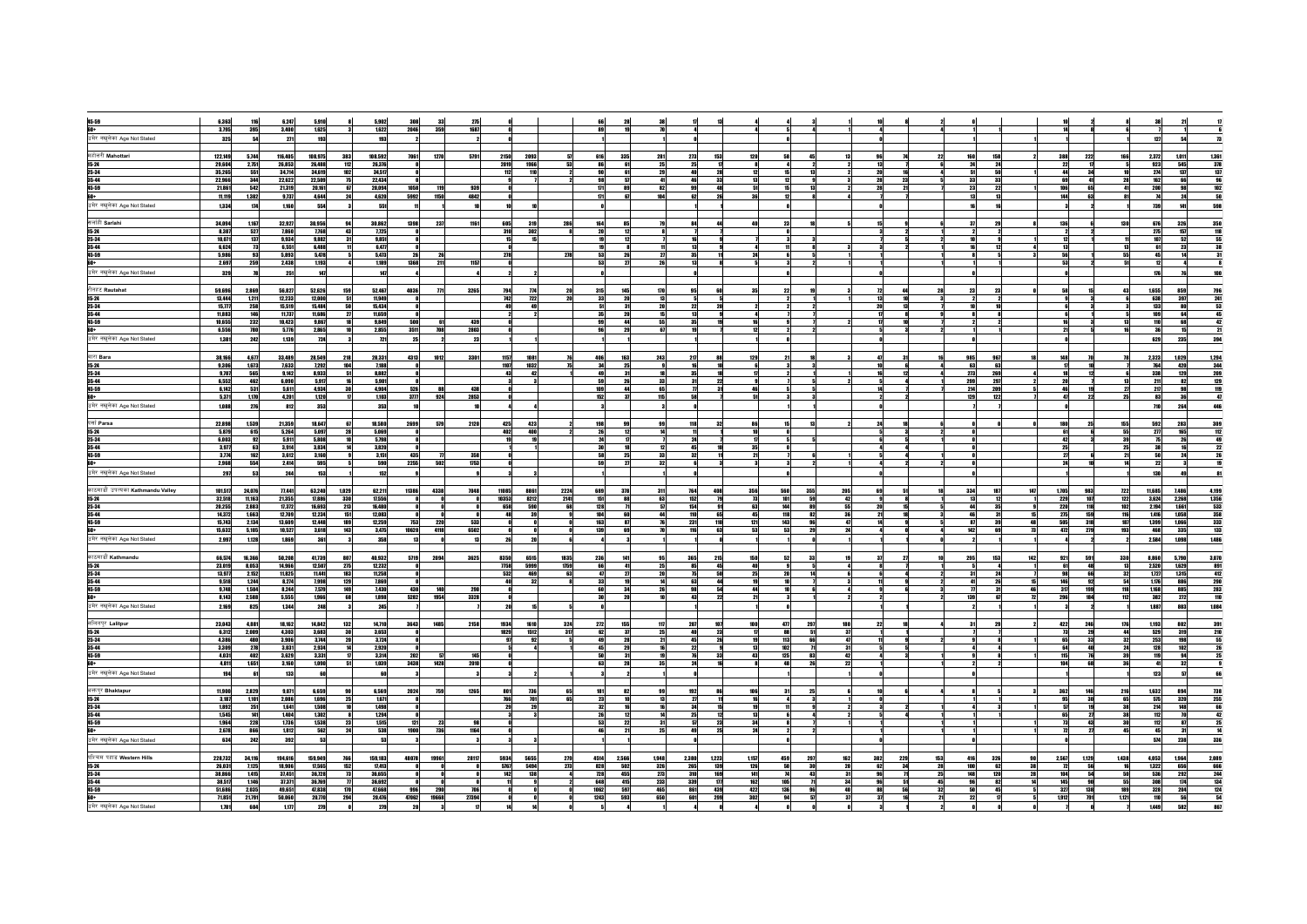| 45-59                                           | 6,363          | 116                      | 6,247          | 5,910          | 5,902                         | 308          |                               |                |      |                   |                   |                                       |            |                                     |                       |            |                    |     |                                                       |                   |                                                                            |
|-------------------------------------------------|----------------|--------------------------|----------------|----------------|-------------------------------|--------------|-------------------------------|----------------|------|-------------------|-------------------|---------------------------------------|------------|-------------------------------------|-----------------------|------------|--------------------|-----|-------------------------------------------------------|-------------------|----------------------------------------------------------------------------|
|                                                 | 3,795          | 395                      | 3,400          | 1,625          | 1,622                         | 2046         | 359<br>1687                   |                |      |                   |                   |                                       |            |                                     |                       |            |                    |     |                                                       |                   |                                                                            |
| <mark>60+</mark><br>उमेर नखुलेका Age Not Stated |                | 54                       |                | 193            | 193                           |              |                               |                |      |                   |                   |                                       |            |                                     |                       |            |                    |     |                                                       |                   | 127                                                                        |
|                                                 | 325            |                          | 271            |                |                               |              |                               |                |      |                   |                   |                                       |            |                                     |                       |            |                    |     |                                                       |                   |                                                                            |
|                                                 |                |                          |                |                |                               |              |                               |                |      |                   |                   |                                       |            |                                     |                       |            |                    |     |                                                       |                   |                                                                            |
| महोत्तरी Mahottari                              | 122,149        | 5.744                    | 116,405        | 108,975        | 383<br>108.592                | 7061         | 1270<br>5791<br>2150          | 2093           |      | 616               | 335<br>281        | 273<br>153                            | 120        |                                     |                       | 22         | 158                |     | 222<br>388                                            | 166               | 1,011<br>2,372                                                             |
| $15 - 24$                                       | 29,604         | 2,751                    | 26,853         | 26,488         | 112<br>26,376                 |              | 2019                          | 1966           |      | 86                | 25                | 25<br>$\mathbf{u}$                    |            |                                     | 13                    |            | 24                 |     | 22                                                    |                   | 923<br>545                                                                 |
| 25-34                                           | 35,265         | 551                      | 34.714         | 34,619         | 102<br>34,517                 |              | 112                           | 110            |      | 90                | 29<br>61          | 28<br>ani                             |            |                                     | 2nl                   |            | 50                 |     | 44                                                    |                   | 1,361<br>378<br>137<br>102<br>102<br>50<br>274<br>137                      |
| 35-44                                           | 22.966         | 344                      | 22,622         | 22,509         | 75<br>22,434                  |              |                               |                |      | 98                | 57<br>41          | 46<br>33                              | 13         | 12                                  | 28<br>23              | 5          | 33<br>33           |     | 69<br>41                                              | 28                | 162<br>66                                                                  |
| 45-59                                           | 21,861         | 542                      | 21,319         | 20,161         | 20,094<br>67                  | 1058         | 119<br>939                    |                |      | $\mathbf{n}$      | 82<br>89          | 48<br>99                              | 51         | 15                                  | 28<br>21              |            | 23<br>$\mathbf{z}$ |     | 106<br>$\begin{array}{c} 65 \\ \hline 63 \end{array}$ | 41                | $\frac{200}{14}$<br>98                                                     |
| 60+                                             | 11.119         | 1,382                    | 9,737          | 4,644          | 24<br>4,620                   | 5992         | 1150<br>4842                  |                |      | 171               | 104               | 26<br>62                              |            |                                     |                       |            | 13                 |     | 144                                                   |                   | 24                                                                         |
| उमेर नखुलेका Age Not Stated                     | 1,334          | 174                      | 1,160          | 554            | 551                           |              |                               |                |      |                   |                   |                                       |            |                                     |                       |            |                    |     |                                                       |                   | 598<br>739<br>141                                                          |
|                                                 |                |                          |                |                |                               |              |                               |                |      |                   |                   |                                       |            |                                     |                       |            |                    |     |                                                       |                   |                                                                            |
| सलांही Sarlahi                                  | 34,094         | 1.167                    | 32.927         | 30,956         | 30,862<br>94                  | 1398         | 237<br>1161<br>605            | 319            | 286  | 164               | 85                | 44<br>84                              |            | 23                                  |                       |            | 29                 |     | 136                                                   | 130               | 676<br>326                                                                 |
| $15 - 24$                                       | 8,387          | 527                      | 7,860          | 7.768          | 43<br>7,725                   |              | 310                           | 302            |      | 20                |                   |                                       |            |                                     |                       |            |                    |     |                                                       |                   | 350<br>118<br>275<br>157                                                   |
| 25-34                                           | 10,071         | 137                      | 9,934          | 9,882          | 9,851<br>31                   |              |                               |                |      |                   |                   |                                       |            |                                     |                       |            |                    |     | 12                                                    |                   | 107<br>52                                                                  |
| 35-44                                           | 6,624          | 73                       | 6,551          | 6,488          | 6.477<br>11                   |              |                               |                |      | 19                |                   | 13                                    |            |                                     |                       |            | 12                 |     | 13                                                    | 13                | 61<br>23                                                                   |
|                                                 | 5,986          | 93                       | 5,893          | 5,478          | 5,473                         | 26           | 26<br>278                     |                | 278  | 53                |                   | $\mathbf{z}$<br>35<br>11              |            |                                     |                       |            |                    |     | 56                                                    | 55                | 45                                                                         |
| 45-59<br>60+                                    | 2,697          |                          | 2,438          | 1,193          | 1,189                         | 1368         | 211<br>1157                   |                |      | 53                | 26                |                                       |            |                                     |                       |            |                    |     | 53                                                    |                   | 12                                                                         |
|                                                 |                | 259<br>78                |                |                | 147                           |              |                               |                |      |                   |                   |                                       |            |                                     |                       |            |                    |     |                                                       |                   |                                                                            |
| उमेर नखुलेका Age Not Stated                     | 329            |                          | 251            | 147            |                               |              |                               |                |      |                   |                   |                                       |            |                                     |                       |            |                    |     |                                                       |                   | 176                                                                        |
|                                                 |                |                          |                |                |                               |              |                               |                |      |                   |                   |                                       |            |                                     |                       |            |                    |     |                                                       |                   |                                                                            |
| रौतहट Rautahat                                  | 59,696         | 2,869                    | 56,827         | 52,626         | 159<br>52,467                 | 4036         | $\overline{m}$<br>3265<br>794 | $\overline{m}$ |      | 315               | 145<br>170        |                                       |            |                                     |                       |            |                    |     |                                                       |                   | 1,655<br>859                                                               |
| $15 - 24$                                       | 13,444         | 1,211                    | 12.233         | 12,000         | 51<br>11,949                  |              |                               | 742<br>722     |      | 33                |                   |                                       |            |                                     | 13 <sup>1</sup>       |            |                    |     |                                                       |                   | 638<br>397                                                                 |
| 25-34                                           | 15,777         | 258                      | 15,519         | 15,484         | 15,434<br>50                  |              |                               | 49             |      | 51                | 31<br>20          | $\mathbf{z}$<br>20                    |            |                                     | 20                    |            |                    |     |                                                       |                   | 133<br>88                                                                  |
| 35-44                                           | 11,883         | 146                      | 11,737         | 11,686         | 11,659<br>27                  |              |                               |                |      | 35                | 15<br>-20         | 13 <sup>1</sup>                       |            |                                     | 17                    |            |                    |     |                                                       |                   | 109<br>64                                                                  |
| 45-59                                           | 10,655         | 232                      | 10,423         | 9,867          | 18<br>9,849                   | 500          | - 61<br>439                   |                |      | 99                | 55<br>44          | 19<br>35                              |            |                                     | 17                    |            |                    |     |                                                       | 13                | 110<br>68                                                                  |
|                                                 | 6,556          | 780                      | 5,776          | 2,865          | 10<br>2,855                   | 3511         | 708<br>2803                   |                |      | 96                |                   | 67<br>19                              | 12         |                                     |                       |            |                    |     | 21                                                    | 16                | 36                                                                         |
| <mark>60+</mark><br>उमेर नखुलेका Age Not Stated | 1,381          | 242                      | 1,139          | 724            | 721                           | 25           | 23                            |                |      |                   |                   |                                       |            |                                     |                       |            |                    |     |                                                       |                   | 394<br>629<br>235                                                          |
|                                                 |                |                          |                |                |                               |              |                               |                |      |                   |                   |                                       |            |                                     |                       |            |                    |     |                                                       |                   |                                                                            |
| बारा Bara                                       | 38,166         | 4.677                    | 33,489         | 28.549         | 28,331<br>218                 | 4313         | 1012<br>3301<br>1157          | 1081           |      | 406               | 163<br>243        | 217<br>88                             | 129        |                                     | 31<br>47              | 985<br>16  | 967                |     | 148                                                   | 78                | 2,323<br>1.029                                                             |
| 15-24                                           | 9,306          |                          | 7,633          | 7,292          |                               |              |                               | 1032           |      |                   |                   | 10                                    |            |                                     |                       |            | 63                 |     | 17                                                    |                   | 420                                                                        |
|                                                 | 9,707          | 1,673<br>565             | 9,142          | 8.933          | 104<br>7,188<br>51<br>8,882   |              | 1107                          | 42             |      | 34<br>49          | 25                | 18<br>35                              |            |                                     |                       | 273        | 63<br>269          |     | <b>18</b>                                             |                   | 1,294<br>344<br>209<br>129<br>119<br>47<br>446<br><b>764</b><br>338<br>129 |
| 25-34                                           |                |                          |                |                |                               |              |                               |                |      |                   | 31                |                                       |            |                                     |                       |            |                    |     |                                                       |                   |                                                                            |
| 35-44<br>45-59                                  | 6,552<br>6,142 | 462<br>531               | 6,090<br>5,611 | 5,917<br>4,934 | 16<br>5,901<br>30<br>4,904    | 526          | 88<br>438                     |                |      | 59<br>109         | 33<br>65          | 31<br>22<br>$\boldsymbol{\eta}$<br>31 |            |                                     | 51                    | 299<br>214 | 297<br>209         |     | 20<br>46                                              | 13<br>27          | 211<br>82<br>21<br>98                                                      |
|                                                 |                |                          |                |                | $\mathbf{n}$                  | 37T          | 924<br>2853                   |                |      | 152               | 115               | 58                                    | 51         |                                     |                       | 129        | 122                |     | 47<br>- 22                                            | 25                | 36                                                                         |
| 60+                                             | 5,371          | 1,170                    | 4,201          | 1,120          | 1,103                         |              |                               |                |      |                   |                   |                                       |            |                                     |                       |            |                    |     |                                                       |                   | 83                                                                         |
| उमेर नखुलेका Age Not Stated                     | 1,088          | 276                      | 812            | 353            | 353                           |              |                               |                |      |                   |                   |                                       |            |                                     |                       |            |                    |     |                                                       |                   | 710<br>264                                                                 |
|                                                 |                |                          |                |                |                               |              |                               |                |      |                   |                   |                                       |            |                                     |                       |            |                    |     |                                                       |                   |                                                                            |
| पर्सा Parsa                                     | 22,898         | 1,539                    | 21,359         | 18,647         | 67<br>18,580                  | 2699         | 579<br>2120<br>425            | 423            |      | 198               | 99<br>99          | 118<br>32                             | <b>asl</b> |                                     | 24                    |            |                    |     | 180                                                   | 155               | 592<br>283                                                                 |
| 15-24                                           | 5,879          | 615                      | 5,264          | 5,097          | 5,069<br>28                   |              | 402                           | 400            |      | 26                |                   |                                       |            |                                     |                       |            |                    |     | 61                                                    | 55                | 309<br>112<br>$2\pi$<br>165                                                |
| 25-34                                           | 6,003          | $\overline{\mathbf{92}}$ | 5,911          | 5,808          | 5,798<br>10                   |              |                               |                |      | 24                |                   |                                       |            |                                     |                       |            |                    |     | 42                                                    | 39                | 피<br>26                                                                    |
| 35-44                                           | 3,977          | 63                       | 3.914          | 3.834          | 3.820<br>14                   |              |                               |                |      | 30                | 18<br>- 12        | 10<br>45                              | 35         |                                     |                       |            |                    |     | 25                                                    | 25                | 38<br>16                                                                   |
| 45-59                                           | 3,774          | 162                      | 3,612          | 3,160          | 3,151                         | 435          | 358<br>$\boldsymbol{\pi}$     |                |      | 58                | 33<br>25          | 32<br>11                              | 21         |                                     | 51                    |            |                    |     | 27                                                    | 21                | 50<br>24                                                                   |
|                                                 | 2,968          | 554                      | 2,414          | 595            | 590                           | 2255         | 502<br>1753                   |                |      | 59                | 32                |                                       |            |                                     |                       |            |                    |     | 24                                                    | 14                | $\mathbf{z}$                                                               |
| <mark>60+</mark><br>उमेर नखुलेका Age Not Stated | 297            | 53                       | 244            | 153            | 152                           |              |                               |                |      |                   |                   |                                       |            |                                     |                       |            |                    |     |                                                       |                   | 130<br>49                                                                  |
|                                                 |                |                          |                |                |                               |              |                               |                |      |                   |                   |                                       |            |                                     |                       |            |                    |     |                                                       |                   |                                                                            |
|                                                 |                |                          |                |                |                               |              |                               |                |      |                   |                   |                                       |            |                                     |                       |            |                    |     |                                                       |                   |                                                                            |
| काठमाडौँ उपत्यका Kathmandu Valley               | 101,517        | 24,076                   | 11,441         | 63,240         | 1,029<br>62,211               | 11386        | 4338<br>7048<br>11085         | 8861           | 2224 | 689               | 378<br>311        | 764<br>408                            | 356        | 560<br>355<br>205                   |                       | 334        | 187                |     | 1,705<br>983                                          | 722               | 11,685<br>7,486                                                            |
| $15 - 24$                                       | 32,518         | 11,163                   | 21,355         | 17,886         | 330<br>17,556                 |              | 10353                         | 8212           | 2141 | 151               | 63                | 152                                   | 73         | 101                                 |                       |            |                    |     | 229<br>107                                            | 122               | 3,624<br>2,268                                                             |
| 25-34                                           | 20,255         | 2,883                    | 17,372         | 16,693         | 213<br>16,480                 |              | 658                           | 590            |      | 128               |                   | 154                                   | 63         | 144<br>55                           | 20                    |            | 35                 |     | 220<br>118                                            | 102               | 2,194<br>1,661                                                             |
| 35-44                                           | 14,372         | 1,663                    | 12,709         | 12,234         | 12,083<br>$\frac{151}{189}$   |              |                               | 39             |      | $\frac{104}{163}$ | $\overline{a}$    | 110<br>65<br>110                      | 45         | 118<br>82<br>36<br>143<br><b>AT</b> | $\mathbf{z}$<br>14    |            | $\frac{31}{2}$     |     | 275<br>159<br>505                                     | $\frac{116}{187}$ | 1,416<br>1,399<br>1,058                                                    |
| 45-59                                           | 15.743         | 2,134                    | 13,609         | 12,448         | 12.259                        | 753          | 220<br>533                    |                |      |                   | 87                | 231                                   | 121        |                                     |                       |            | -39<br>87          |     | 318                                                   |                   | 4,199<br>1,356<br>533<br>358<br>333<br>333<br>133<br>1.066                 |
| <mark>60+</mark><br>उमेर नखुलेका Age Not Stated | 15,632         | 5,105                    | 10,527         | 3,618          | 143<br>3,475                  | 10620        | 4118<br>6502                  |                |      | 139               | 69                | 116<br>63                             | 53         | 53                                  |                       | 142        | 69                 |     | 472<br>279                                            | 193               | 468<br>335                                                                 |
|                                                 | 2,997          | 1,128                    | 1,869          | 361            | 358                           |              |                               |                |      |                   |                   |                                       |            |                                     |                       |            |                    |     |                                                       |                   | 1,486<br>2,584<br>1,098                                                    |
|                                                 |                |                          |                |                |                               |              |                               |                |      |                   |                   |                                       |            |                                     |                       |            |                    |     |                                                       |                   |                                                                            |
| काठमाडौँ Kathmandu                              | 66,574         | 16,366                   | 50,208         | 41,739         | 807<br>40,932                 | 5719         | 2094<br>3625<br>8350          | 6515           | 1835 | 236               | 141<br>95         | 365<br>215                            | 150        | 52<br>33                            | 37<br>27              | 10<br>295  | 153                | 142 | 921<br>591                                            | 330               | 8,860<br>5,790                                                             |
| $15 - 24$                                       | 23,019         | 8,053                    | 14,966         | 12,507         | 275<br>12,232                 |              | 7758                          | 5999           | 1759 | 66                | 25                | 85<br>45                              |            |                                     |                       |            |                    |     | 61                                                    | 13                | 2,520<br>1,629                                                             |
| 25-34                                           | 13,977         | 2,152                    | 11,825         | 11.441         | 183<br>11,258                 |              | 532                           | 469            | 63   | 47                | 20<br>27          | 50<br>75                              | 25         | 20                                  |                       |            | 24<br>31           |     | 98                                                    | 32                | 1,727<br>1,315                                                             |
| 35-44                                           | 9,518          | 1,244                    | 8,274          | 7,998          | 129<br>7,869                  |              |                               | 48<br>32       |      | 33                | 19<br>14          | 63<br>44                              | 19         | 10                                  | 11                    |            | 26                 |     | 146<br>92                                             | 54                | 1,176<br>886                                                               |
| 45-59                                           | 9,748          | 1,504                    | 8,244          | 7,579          | 149<br>68<br>7,430            | 430          | 140<br>290                    |                |      | 60                | 34<br>26          | 54<br>98                              | 44         | 10                                  |                       |            | 31                 |     | 317<br>199                                            | 118               | 1168<br>382<br>885                                                         |
| 60+                                             | 8.143          | 2,588                    | 5,555          | 1966           | 1.898                         | 5282         | 1954<br>3328                  |                |      | 30                | 20<br>10          | 43<br>22                              | 21         | -al                                 | $\mathbf{z}$          | 기<br>139   | 67                 |     | 296<br>184                                            | 112               | 3,070<br>891<br>412<br>290<br>283<br>110<br>272                            |
| उमेर नखुलेका Age Not Stated                     | 2,169          | 825                      | 1,344          | 248            | 245                           |              |                               |                |      |                   |                   |                                       |            |                                     |                       |            |                    |     |                                                       |                   | 1,887<br>803<br>1,084                                                      |
|                                                 |                |                          |                |                |                               |              |                               |                |      |                   |                   |                                       |            |                                     |                       |            |                    |     |                                                       |                   |                                                                            |
| ललितपुर Lalitpur                                | 23,043         | 4.881                    | 18.162         | 14842          | 132<br>14,710                 | 3643         | 1485<br>2158<br>1934          | 1610           | 324  | 272               | 155<br>117        | 207<br>107                            | 100        | m<br>297<br>180                     | 22                    |            | 29                 |     | 422<br>246                                            | 176               | 1,193<br>802                                                               |
| $15 - 24$                                       | 6,312          | 2,009                    | 4,303          | 3,683          | 30<br>3,653                   |              | 1829                          | 1512           | 317  | 62                | 25<br>37          | 23<br>48                              |            | 88<br>51<br>37                      |                       |            |                    |     | 13<br>29                                              | 44                | 529<br>319                                                                 |
| 25-34                                           | 4,386          | 480                      | 3,906          | 3,744          | 3,724<br>20                   |              | 97                            | 92             |      | 49                | 28<br>21          | 26<br>45                              |            | 113<br>66                           |                       |            |                    |     | 65<br>33                                              | 32                | 253<br>198                                                                 |
| 35-44                                           | 3,309          | 278                      | 3,031          | 2,934          | 14<br>2,920                   |              |                               |                |      | 45                | 29                | 22                                    | 13         | 102<br>31                           |                       |            |                    |     | 64                                                    | 24                | 128<br>102                                                                 |
| 45-59                                           | 4,031          | 402                      | 3,629          | 3.331          | 3,314                         | 202          | 57<br>145                     |                |      | 50                |                   | 33                                    | 43         | 125<br>83<br>42                     |                       |            |                    |     | 115                                                   | 39                | 391<br>210<br>55<br>26<br>25<br>119<br>94                                  |
| 60+                                             | 4,811          | 1,651                    | 3,160          | 1,090          | 51<br>1,039                   | 3438         | 1428<br>2010                  |                |      | 63                | 35<br>-28         | 16<br>24                              |            | 48<br>22<br>26                      |                       |            |                    |     | 184<br>68                                             | 36                | $\frac{1}{2}$<br>32                                                        |
|                                                 |                |                          | 133            |                | 60                            |              |                               |                |      |                   |                   |                                       |            |                                     |                       |            |                    |     |                                                       |                   | 57                                                                         |
| उमेर नखुलेका Age Not Stated                     | 194            | 61                       |                | 60             |                               |              |                               |                |      |                   |                   |                                       |            |                                     |                       |            |                    |     |                                                       |                   | 123                                                                        |
|                                                 |                |                          |                |                |                               |              |                               |                |      |                   |                   |                                       |            |                                     |                       |            |                    |     |                                                       |                   |                                                                            |
| भक्तपुर Bhaktapur<br><b>15-24</b>               | 11,900         | 2,829                    | 9,071          | 6.659          | 6,569<br>90                   | 2024         | 1265<br>759<br>801            | 736            | 65   | 181               | 82                | 192                                   | 106        |                                     |                       |            |                    |     | 146<br>362                                            | 216               | 1,632<br>894                                                               |
|                                                 | 3.187          | 1.101                    | 2,086          | 1696           | 25<br>1.671                   |              | 766                           | 701            | 65   | 23                | -13               | 27<br>- 11                            | 16         |                                     |                       |            |                    |     | 95<br>- 30                                            | 65                | 575<br>320                                                                 |
| 25-34                                           | 1,892          | 251                      | 1,641          | 1,508          | 1,498                         |              | 29                            | 29             |      | 32                |                   | 34<br>15                              |            |                                     |                       |            |                    |     | 51                                                    | 38                | 738<br>255<br>66<br>42<br>25<br>14<br>214<br>148                           |
| 35-44                                           | 1,545          | 141                      | 1,404          | 1,302          | 1,294                         |              |                               |                |      | 26                | - 12<br>- 14      | 25<br>12                              | 13         |                                     |                       |            |                    |     | 65<br>-27                                             | 38                | 112<br>70                                                                  |
| 45-59                                           | 1,964          | 228                      | 1,736          | 1,538          | 23<br>1,515                   | 121          | 23<br>98                      |                |      | 53                | 31<br>22          | 57<br>23                              | 34         |                                     |                       |            |                    |     | 13<br>43                                              | 30                | $112$<br>87                                                                |
|                                                 | 2,678          | 866                      | 1,812          | 562            | 24<br>538                     | 1900         | 736<br>1164                   |                |      | 46                | 25                | 25<br>49                              |            |                                     |                       |            |                    |     | 72                                                    | 45                | 45                                                                         |
| उमेर नखुलेका Age Not Stated                     | 634            | 242                      | 392            | 53             | 53                            |              |                               |                |      |                   |                   |                                       |            |                                     |                       |            |                    |     |                                                       |                   | 336<br>574<br>238                                                          |
|                                                 |                |                          |                |                |                               |              |                               |                |      |                   |                   |                                       |            |                                     |                       |            |                    |     |                                                       |                   |                                                                            |
| पश्चिम पहाड Western Hills                       | 228,732        | 34,116                   | 194,616        | 159,949        | 766<br>159,183                | 48078        | 19961<br>28117<br>5934        | 5655           | 279  | 4514              | 2,566<br>1,948    | 2,380<br>1,223                        | 1,157      | 459<br>297<br>162                   | 382<br>229            | 153        | 326                |     | 2,567<br>1,129                                        | 1,438             | 4,053<br>1,964                                                             |
| $15 - 24$                                       | 26,031         | 7.125                    | 18,906         | 17,565         | 17.413                        |              |                               | 5494           | 273  |                   | 502<br>326        | 139                                   | 126        | 50<br>30<br>20                      | 62<br>34              | 28         | 62                 |     | 56<br>72                                              | 16                | 656                                                                        |
| 25-34                                           | 38.866         | 1.415                    | 37.451         | 36,728         | $\frac{152}{73}$<br>36.655    |              | 5767<br>142                   | 138            |      | 828<br>728        | 455<br>273        | 265<br>310<br>169                     | 141        | 43<br>74<br>-31                     | 96<br>- 71            | 25         | 148<br>120         |     | 184                                                   | 50                | 1322<br>536<br>292                                                         |
| 35-44                                           | 38,517         | 1,146                    | 37,371         | 36,769         | $\boldsymbol{\eta}$<br>36,692 |              |                               |                |      | 648               | 233<br>415        | 339<br>$\mathbf{m}$                   | 162        | 105<br>71<br>34                     | 96<br>51              | 45         | 82                 |     | 145                                                   | 55                | 2,089<br>666<br>244<br>134<br>124<br>54<br>667<br>308<br>174               |
| 45-59                                           |                | 2,035                    |                | 47,838         | 47,668                        |              |                               |                |      |                   | 597               | 439                                   |            | 96                                  |                       |            | 50                 |     | 327                                                   |                   |                                                                            |
|                                                 | 51,686         |                          | 49,651         |                | $\Pi$ 0                       | 996<br>47062 | 290<br>706<br>19668<br>27394  |                |      | 1062<br>1243      | 465<br>593<br>650 | 861<br>601<br>299                     | 422<br>302 | 136<br>40<br>94                     | $\frac{88}{37}$<br>56 | 32<br>21   | 45                 |     | 138<br>791                                            | 189               | 328<br>204<br>56                                                           |
| <mark>60+</mark><br>उमेर नखुलेका Age Not Stated | 71,851         | 21,791                   | 50,060         | 20,770         | 294<br>20,476                 |              |                               |                |      |                   |                   |                                       |            |                                     |                       |            |                    |     | 1,912                                                 | 1,121             | 110                                                                        |
|                                                 | 1,781          | 604                      | 1, 111         | 279            | 279                           | 20           |                               |                |      |                   |                   |                                       |            |                                     |                       |            |                    |     |                                                       |                   | 1,449<br>582                                                               |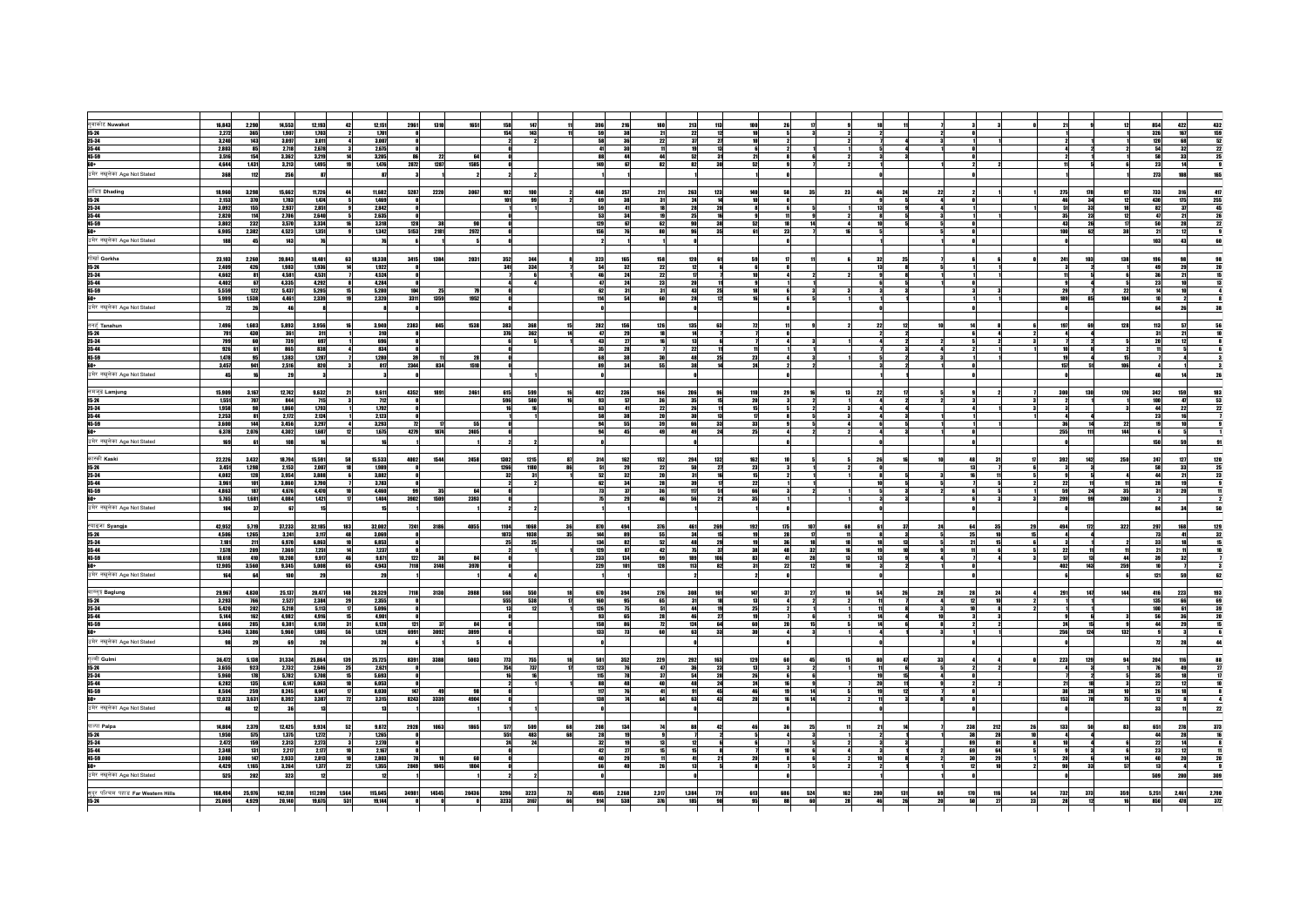| नुवाकोट Nuwakot                                     | 16,843         | 2,290      | 14,553         | 12,193         | 42           | 12,151                                                                                         | 2961      | 1310<br>1651   | 158  | 147  |    | 396  | 216                     |       | 213       | 113             | 100<br>26         |          |     |     |     |            |     |                 | 854                         | 432   |
|-----------------------------------------------------|----------------|------------|----------------|----------------|--------------|------------------------------------------------------------------------------------------------|-----------|----------------|------|------|----|------|-------------------------|-------|-----------|-----------------|-------------------|----------|-----|-----|-----|------------|-----|-----------------|-----------------------------|-------|
| $15 - 24$                                           | 2,272          | 365        | 1.907          | 1.703          |              | 1.701                                                                                          | - ni      |                | 154  | 143  |    |      | 38                      | 21    | 22        | - 12            |                   |          |     |     |     |            |     |                 | $422$<br>$167$<br>326       | 159   |
| 25-34                                               | 3,240          | 143        | 3,097          | 3,011          |              | 3,007                                                                                          |           |                |      |      |    |      | 36                      |       | 37        | 27              |                   |          |     |     |     |            |     |                 | 120                         |       |
|                                                     | 2,803          | 85         | 2,718          | 2.678          |              | 2.675                                                                                          |           |                |      |      |    |      | 30                      |       |           | 13              |                   |          |     |     |     |            |     |                 | 68<br>32<br>54              |       |
| 35-44<br>45-59                                      | 3,516          | 154        | 3,362          | 3,219          | 14           | 3,205                                                                                          | 86        | 22<br>64       |      |      |    |      | 44                      |       | 52        | 31              |                   |          |     |     |     |            |     |                 | 58<br>33                    |       |
| 60+                                                 | 4,644          | 1,431      | 3,213          | 1,495          |              | 1,476                                                                                          | 2872      | 1287<br>1585   |      |      |    |      | 67                      | 82    | 82        | 30              |                   |          |     |     |     |            |     |                 | 23<br>14                    |       |
|                                                     |                |            |                |                |              |                                                                                                |           |                |      |      |    |      |                         |       |           |                 |                   |          |     |     |     |            |     |                 |                             |       |
| उमेर नखुलेका Age Not Stated                         | 368            | 112        | 256            | 87             |              | 87                                                                                             |           |                |      |      |    |      |                         |       |           |                 |                   |          |     |     |     |            |     |                 | 108<br>273                  |       |
|                                                     |                |            |                |                |              |                                                                                                |           |                |      |      |    |      |                         |       |           |                 |                   |          |     |     |     |            |     |                 |                             |       |
| धाडिष्ट्र Dhading                                   | 18,960         | 3,298      | 15,662         | 11,726         |              | 11,682                                                                                         | 5287 2220 | 3067           | 102  | 100  |    | 468  | 257                     | 21    | 263       | 123             | 140               |          |     |     |     | 275        | 178 |                 | 733<br>316                  |       |
| $15 - 24$                                           | 2,153          | 370        | 1,783          | 1,474          |              | 1,469                                                                                          |           |                | 101  |      |    |      | 38                      |       | 24        | 14              |                   |          |     |     |     | 46         | 34  |                 | 438<br>175                  |       |
| 25-34                                               | 3,092          | 155        | 2,937          | 2,851          |              | 2,842                                                                                          |           |                |      |      |    |      |                         |       |           |                 |                   |          |     |     |     | 51         | 33  |                 | 82<br>37                    |       |
| 35-44                                               | 2,820          | 114        | 2,706          | 2,640          |              | 2,635                                                                                          |           |                |      |      |    |      | 34                      |       |           |                 |                   |          |     |     |     | 35         | 23  |                 | a7                          |       |
| 45-59                                               | 3,802          | 232        | 3,570          | 3,334          |              | 3,318                                                                                          | 128       | 38             |      |      |    | 129  | 67                      |       | <b>gn</b> | 38              |                   |          |     |     |     | 43         | 26  |                 | 50<br>28                    |       |
| $60+$                                               | 6,905          | 2,382      | 4,523          | 1,351          |              | 1,342                                                                                          | 5153      | 2972<br>2181   |      |      |    | 156  |                         |       |           | 35              | 23                |          |     |     |     | 100        | 62  |                 | 21<br>12                    |       |
| उमेर नखुलेका Age Not Stated                         | 188            | 45         | 143            |                |              |                                                                                                |           |                |      |      |    |      |                         |       |           |                 |                   |          |     |     |     |            |     |                 | 103<br>43                   |       |
|                                                     |                |            |                |                |              |                                                                                                |           |                |      |      |    |      |                         |       |           |                 |                   |          |     |     |     |            |     |                 |                             |       |
| गोर्खा Gorkha                                       | 23,103         | 2,260      | 20,843         | 18,401         | 63           | 18,338                                                                                         | 3415      | 1384<br>2031   | 352  | 344  |    | 323  | 165                     | 158   | 120       | 61              |                   |          | 32  | 25  |     | 241        | 103 | 138             | 98<br>196                   |       |
| $15-24$                                             | 2,409          | 426        | 1,983          | 1,936          |              | 1,922                                                                                          |           |                | 341  | 334  |    |      | 32                      |       |           |                 |                   |          |     |     |     |            |     |                 | 49                          |       |
| 25-34                                               | 4,662          | 81         | 4,581          | 4,531          |              | 4,524                                                                                          |           |                |      |      |    |      | 24                      |       |           |                 |                   |          |     |     |     |            |     |                 | 36<br>21                    |       |
| 35-44                                               | 4,402          | 67         | 4,335          | 4.292          |              | 4.284                                                                                          |           |                |      |      |    |      | 24                      |       | 20        | 11              |                   |          |     |     |     |            |     |                 | 23                          |       |
| 45-59                                               | 5,559          | 122        | 5,437          | 5,295          |              | 5,280                                                                                          | 184       | 25             |      |      |    |      | 31                      |       | 43        | 25              |                   |          |     |     |     | 29         |     |                 |                             |       |
| 60+                                                 | 5,999          | 1,538      | 4,461          | 2,339          |              | 2,320                                                                                          | 3311      | 1359<br>1952   |      |      |    | 114  | 54                      |       | 28        | $12 \text{ }$   |                   |          |     |     |     | 189        | 85  |                 |                             |       |
| उमेर नखुलेका Age Not Stated                         |                | 26         |                |                |              |                                                                                                |           |                |      |      |    |      |                         |       |           |                 |                   |          |     |     |     |            |     |                 | 64<br>26                    |       |
|                                                     |                |            |                |                |              |                                                                                                |           |                |      |      |    |      |                         |       |           |                 |                   |          |     |     |     |            |     |                 |                             |       |
|                                                     |                |            |                |                |              |                                                                                                |           |                |      |      |    |      |                         |       |           |                 |                   |          |     |     |     |            |     |                 |                             |       |
| तनहं Tanahun                                        | 7,496          | 1,603      | 5,893          | 3,956          | 16           | 3,940                                                                                          | 2383      | 845<br>1538    | 383  | 368  |    | 282  | 156                     | 126   | 135       | 63              |                   |          | 22  |     |     | 197        | 69  | 128             | 113                         |       |
| $15 - 24$                                           | 791            | 430        | 361            | 311            |              | 310                                                                                            |           |                | 376  | 362  |    |      | 29                      |       |           |                 |                   |          |     |     |     |            |     |                 | 31                          |       |
| 25-34                                               | 799            | 60         | 739            | 697            |              | 696                                                                                            |           |                |      |      |    | 43   | 27                      |       | 13        | 6               |                   |          |     |     |     |            |     |                 | 20                          |       |
| 35-44<br>45-59                                      | 926            | 61         | 865            | 838            |              | 834                                                                                            |           |                |      |      |    |      | 28                      |       | 22        |                 |                   |          |     |     |     |            |     |                 |                             |       |
|                                                     | 1,478          | 95         | 1,383          | 1,287          |              | $\begin{array}{r} \textcolor{red}{\textbf{1280}} \\ \textcolor{red}{\textbf{817}} \end{array}$ | 39        | 28             |      |      |    |      | 38                      |       | 48<br>38  | $^{25}$<br>14   | 23                |          |     |     |     | 19         | -41 | 106             |                             |       |
| 60+                                                 | 3,457          | 941        | 2,516          | 820            |              |                                                                                                | 2344      | 834<br>1510    |      |      |    |      | 34                      |       |           |                 |                   |          |     |     |     | 157        | 51  |                 |                             |       |
| उमेर नखुलेका Age Not Stated                         |                |            |                |                |              |                                                                                                |           |                |      |      |    |      |                         |       |           |                 |                   |          |     |     |     |            |     |                 |                             |       |
|                                                     |                |            |                |                |              |                                                                                                |           |                |      |      |    |      |                         |       |           |                 |                   |          |     |     |     |            |     |                 |                             |       |
| लमजुङ Lamjung                                       | 15,909         | 3,167      | 12.742         | 9,632          | 21           | 9,611                                                                                          | 4352      | 1891<br>2461   | 615  | 599  |    | 402  | 236                     | 166   | 206       | 96              | 110<br>29         |          |     |     |     | 300        | 130 | 70 <sub>0</sub> | 159<br>342                  |       |
| $15-24$                                             | 1,551          | 707        | 844            | 715            |              | 712                                                                                            |           |                | 596  | 580  |    |      | 57                      |       | 35        | 15              |                   |          |     |     |     |            |     |                 | 100<br>47                   |       |
| 25-34                                               | 1,958          | 98         | 1,860          | 1,793          |              | 1,792                                                                                          |           |                |      |      |    |      | 41                      |       | 26        | 11              |                   |          |     |     |     |            |     |                 | 44<br>22                    |       |
| 35-44                                               | 2.253          | 81         | 2,172          | 2.124          |              | 2,123                                                                                          |           |                |      |      |    |      | 38                      |       | 30        | 13              |                   |          |     |     |     |            |     |                 | 23                          |       |
| 45-59                                               | 3,600          | 144        | 3,456          | 3,297          |              | 3,293                                                                                          | 72        | 55             |      |      |    |      | 55                      | 39    | 66        | 33              | 33                |          |     |     |     | 36         | 14  | 22              | 19                          |       |
| 60+                                                 | 6,378          | 2,076      | 4,302          | 1.687          | 12           | 1,675                                                                                          | 4279      | 1874<br>2405   |      |      |    |      | 45                      |       | 49        | 24              | 25                |          |     |     |     | 255        | 111 | 144             |                             |       |
| उमेर नखुलेका Age Not Stated                         | 169            |            | 10             |                |              |                                                                                                |           |                |      |      |    |      |                         |       |           |                 |                   |          |     |     |     |            |     |                 | 150                         |       |
|                                                     |                |            |                |                |              |                                                                                                |           |                |      |      |    |      |                         |       |           |                 |                   |          |     |     |     |            |     |                 |                             |       |
| कास्की Kaski                                        | 22,226         | 3,432      | 18,794         | 15,591         | 58           | 15,533                                                                                         | 4002      | 1544<br>2458   | 1302 | 1215 | 87 | 314  | 162                     | 152   | 294       | 132             | 162               |          | 26  |     |     | 392        | 142 | 250             | 127<br>247                  |       |
|                                                     |                |            |                | 2.007          |              |                                                                                                |           |                | 1266 | 1180 |    |      | 29                      |       |           |                 |                   |          |     |     |     |            |     |                 | 58<br>33                    |       |
| $15 - 24$<br>25-34                                  | 3,451<br>4,082 | 1298       | 2,153<br>3,954 | 3,888          |              | 1,989<br>3,882                                                                                 |           |                | 32   | 31   |    |      | 32                      |       | 31        | 27<br>16        |                   |          |     |     |     |            |     |                 | 44                          |       |
|                                                     |                | 128        |                |                |              |                                                                                                |           |                |      |      |    |      |                         |       |           |                 |                   |          |     |     |     |            |     |                 |                             |       |
| 35-44<br>45-59                                      | 3,961<br>4,863 | 101<br>187 | 3,860<br>4.676 | 3,790<br>4,478 |              | 3,783<br>4,460                                                                                 | 99        | 35<br>64       |      |      |    |      | 34<br>-37               |       | 117       | 51              |                   |          |     |     |     | 22<br>59   | 24  | 35              | 28<br>$\frac{19}{20}$<br>31 |       |
|                                                     |                | 1,681      |                |                |              | 1,404                                                                                          |           | 1509           |      |      |    |      | 29                      |       | 56        | 21              | 35                |          |     |     |     | 299        | 99  | 200             |                             |       |
| <mark>60+</mark><br>उमेर नखुलेका Age Not Stated     | 5,765          |            | 4,084          | 1,421          |              |                                                                                                | 3902      | 2393           |      |      |    |      |                         |       |           |                 |                   |          |     |     |     |            |     |                 |                             |       |
|                                                     | 104            | 37         | 67             |                |              |                                                                                                |           |                |      |      |    |      |                         |       |           |                 |                   |          |     |     |     |            |     |                 | 84                          |       |
|                                                     |                |            |                |                |              |                                                                                                |           |                |      |      |    |      |                         |       |           |                 |                   |          |     |     |     |            |     |                 |                             |       |
| स्याङ्जा Syangja                                    | 42,952         | 5.719      | 37,233         | 32,185         | 183          | 32.002                                                                                         | 7241      | 3186<br>4055   | 1104 | 1068 | 36 | 870  | 494                     | 376   | 461       | 269             | 107<br>192<br>175 | 68       | 61  |     | 24  | 494<br>35  | 172 | 322             | 297<br>168                  | 129   |
| $15-24$                                             | 4,506          | 1,265      | 3,241          | 3,117          | 48           | 3,069                                                                                          |           |                | 1073 | 1038 | 35 | 144  | 89                      |       | 34        | 15              | 28                |          |     |     | 5   |            |     |                 | 73                          |       |
| 25-34                                               | 7,181          | 211        | 6,970          | 6.863          |              | 6.853                                                                                          |           |                | 25   | 25   |    |      | 82                      |       | 48        | 29              |                   |          |     |     |     |            |     |                 | 33                          |       |
| 35-44<br>45-59                                      | 7,578          | 209        | 7,369          | 7,251          | 14           | 7,237                                                                                          |           |                |      |      |    | 129  | 87                      | 42    | 75        | 37              | 48                | -32      | 19  |     |     | 22         |     |                 | 21                          |       |
|                                                     | 10,618         | 410        | 10,208         | 9,917          | 46           | 9,871                                                                                          | 122       | 84<br>38       |      |      |    | 233  | 134                     | 99    | 189       | 106             | 83<br>41          | 28<br>13 | 13  |     |     |            | 13  |                 | 39<br>32                    |       |
| <del>.<br/><br/>उमेर नखुलेका</del> Age Not Stated   | 12,905         | 3,560      | 9.345          | 5.008          | 65           | 4.943                                                                                          | 7118      | 3148<br>3970   |      |      |    | 229  | 101                     | 128   | 113       | $\overline{82}$ | 22<br>31          |          |     |     |     | 482        | 143 | 259             | 10                          |       |
|                                                     | 164            | 64         | 100            | 29             |              | 29                                                                                             |           |                |      |      |    |      |                         |       |           |                 |                   |          |     |     |     |            |     |                 | 59<br>121                   |       |
|                                                     |                |            |                |                |              |                                                                                                |           |                |      |      |    |      |                         |       |           |                 |                   |          |     |     |     |            |     |                 |                             |       |
| वाग्लुङ्ग Baglung                                   | 29,967         | 4,830      | 25.137         | 20,477         | 148          | 20,329                                                                                         | 7118      | 3130<br>3988   | 568  | 550  |    | 670  | 394                     | 276   | 308       | 161             | 37<br>147         |          | 54  | 26  | 28  | 291<br>24  | 147 | 144             | 416<br>223                  |       |
| $15 - 24$                                           | 3,293          | 766        | 2,527          | 2,384          | 29           | 2,355                                                                                          |           |                | 555  | 538  |    | 160  | 95                      |       | 31        | 18              |                   |          |     |     |     |            |     |                 | 66<br>135                   |       |
| 25-34                                               | 5,420          | 202        | 5,218          | 5,113          | $\mathbf{n}$ | 5,096                                                                                          |           |                |      |      |    | 126  | 75                      |       |           | 19              |                   |          |     |     |     |            |     |                 | 100<br>61                   |       |
| 35-44                                               | 5,144          | 162        | 4.982          | 4.916          | 15           | 4.901                                                                                          |           |                |      |      |    |      | 65                      |       | 46        | 27              |                   |          |     |     |     |            |     |                 | 56                          |       |
| 45-59                                               | 6,666          | 285        | 6,381          | 6,159          | 31           | 6,128                                                                                          | 121       | - 37<br>84     |      |      |    | 158  | 86                      |       | 124       | 64              | 20                |          | 14  |     |     | 24         | 15  |                 | 44<br>29                    |       |
| $60+$                                               | 9,346          | 3,386      | 5,960          | 1,885          | 56           | 1,829                                                                                          | 6991      | 3092<br>3899   |      |      |    | 133  | 73                      |       | 63        | 33              | 30                |          |     |     |     | 256        | 124 | 132             |                             |       |
| उमेर नखुलेका Age Not Stated                         |                | 29         |                | 20             |              | 20                                                                                             |           |                |      |      |    |      |                         |       |           |                 |                   |          |     |     |     |            |     |                 |                             |       |
|                                                     |                |            |                |                |              |                                                                                                |           |                |      |      |    |      |                         |       |           |                 |                   |          |     |     |     |            |     |                 |                             |       |
| गुल्मी Gulmi                                        | 36,472         | 5,138      | 31,334         | 25,864         | 139          | 25,725                                                                                         | 8391 3388 | 5003           | 773  | 755  |    | 581  | 352                     | 229   | 292       | 163             | 129               |          |     |     |     | 223        | 129 |                 | 204<br>116                  |       |
| $15-24$                                             | 3,655          | 923        | 2,732          | 2,646          | 25           | 2,621                                                                                          |           |                | 754  | 737  |    | 123  | 76                      |       | 36        | 23              |                   |          |     |     |     |            |     |                 | 76<br>49                    |       |
| 25-34                                               | 5,960          | 178        | 5,782          | 5,708          |              | 5,693                                                                                          |           |                |      | 16   |    | 115  | 78                      |       | 54        | 28              | 26                |          | 19  |     |     |            |     |                 |                             |       |
| 35-44                                               | 6,282          | 135        | 6,147          | 6,063          |              | 6,053                                                                                          |           |                |      |      |    |      | 48                      |       | AR        | 24              |                   |          | 20  |     |     | 21         | 18  |                 | $\frac{35}{22}$             |       |
| 45-59                                               | 8,504          | 259        | 8,245          | 8,047          |              | 8,030                                                                                          | 147       |                |      |      |    |      |                         |       |           | 45              |                   |          |     |     |     |            |     |                 | 26                          |       |
| $60+$                                               | 12,023         | 3,631      | 8,392          | 3,387          | 72           | 3,315                                                                                          | 8243      | 3339<br>4904   |      |      |    | 138  |                         |       | 63        | 43              | 20                |          |     |     |     | 153        | 78  |                 | 12                          |       |
|                                                     |                | $\bf 12$   |                |                |              |                                                                                                |           |                |      |      |    |      |                         |       |           |                 |                   |          |     |     |     |            |     |                 |                             |       |
| उमेर नखुलेका Age Not Stated                         | 48             |            | 36             | 13             |              |                                                                                                |           |                |      |      |    |      |                         |       |           |                 |                   |          |     |     |     |            |     |                 | 33                          |       |
|                                                     |                |            |                |                |              |                                                                                                |           |                |      |      |    |      |                         |       |           |                 |                   |          |     |     |     |            |     |                 |                             |       |
| पाल्पा Palpa                                        | 14,804         | 2,379      | 12,425         | 9,924          | 52           | 9,872                                                                                          | 2928      | 1063<br>1865   | 577  | 509  | 68 | 208  | 134                     |       |           | 42              |                   |          |     |     | 238 | 212<br>133 | 50  |                 | 278<br>651                  |       |
| $15 - 24$                                           | 1,950          | 575        | 1,375          | 1,272          |              | 1,265                                                                                          |           |                | 551  | 483  | 68 |      | 19                      |       |           |                 |                   |          |     |     | 38  | 28         |     |                 | 44<br>28                    |       |
| 25-34                                               | 2,472          | 159        | 2,313          | 2,273          |              | 2,270                                                                                          |           |                | 24   | 24   |    | 32   | 19                      |       |           |                 |                   |          |     |     |     | 81         |     |                 | 22<br>14                    |       |
| 35-44                                               | 2,348          | 131        | 2,217          | 2,177          |              | 2.167                                                                                          |           |                |      |      |    |      | $\overline{\mathbf{z}}$ |       | 15        |                 |                   |          |     |     |     | 64         |     |                 | 23<br>12                    |       |
| 45-59                                               | 3,080          | 147        | 2,933          | 2,813          |              | 2,803                                                                                          | 78        | 60             |      |      |    |      | 29                      |       | 41        | 21              |                   |          |     |     |     | 20         |     |                 | 48<br>20                    |       |
|                                                     | 4,429          | 1,165      | 3,264          | 1,377          | 22           | 1,355                                                                                          | 2849      | 1045<br>1804   |      |      |    |      | $\overline{a}$          |       | 13        |                 |                   |          |     |     |     |            | 33  |                 | 13                          |       |
| उमेर नखुलेका Age Not Stated                         | 525            | 202        | 323            |                |              |                                                                                                |           |                |      |      |    |      |                         |       |           |                 |                   |          |     |     |     |            |     |                 | 509<br>200                  |       |
|                                                     |                |            |                |                |              |                                                                                                |           |                |      |      |    |      |                         |       |           |                 |                   |          |     |     |     |            |     |                 |                             |       |
| सुदूर पश्चिम पहाड Far Western Hills<br><b>15-24</b> | 168,494        | 25,976     | 142,518        | 117,209        | 1,564        | 115,645                                                                                        | 34981     | 14545<br>20436 | 3296 | 3223 | 73 | 4585 | 2,268                   | 2,317 | 1,384     | n1              | 613<br>686<br>524 | 162      | 200 | 131 | 69  | 732        | 373 | 359             | 5,251<br>2,461              | 2,790 |
|                                                     | 25,069         | 4,929      | 20.140         | 19,675         | 531          | 19,144                                                                                         |           |                | 3233 | 3167 | 66 | 914  | 538                     | 376   | 185       | 90              | 88<br>95          | 28<br>68 | 46  | 26  | 20  | 28         | 12  |                 | 850<br>478                  | 372   |
|                                                     |                |            |                |                |              |                                                                                                |           |                |      |      |    |      |                         |       |           |                 |                   |          |     |     |     |            |     |                 |                             |       |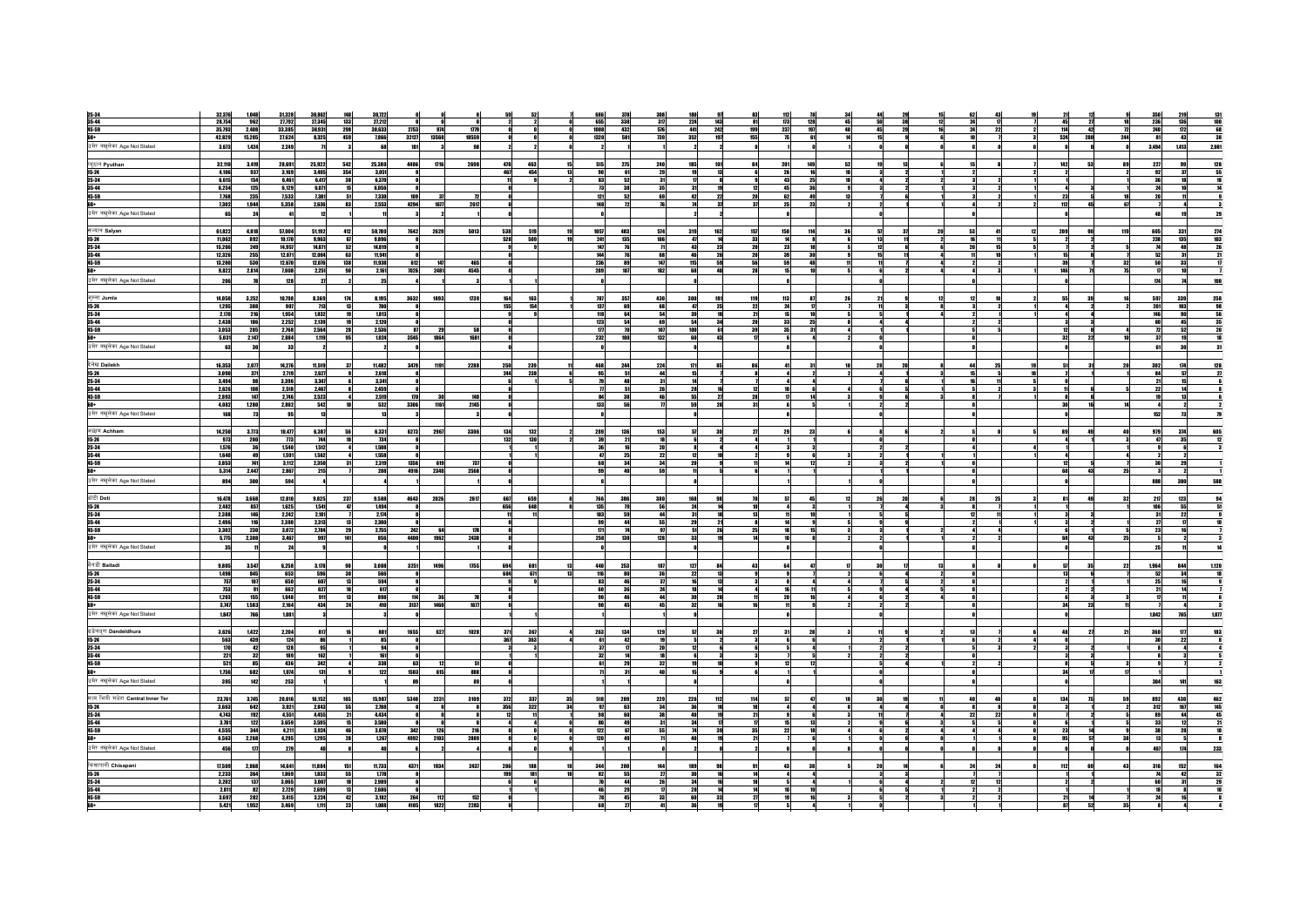|                                                 | 32,376<br>1,048                                                   | 31,328<br>30,862<br>140       | 30.722                                 |                          |                                                                                                       |                                       |                  |                 |     |                                                                           |                                                                                              |
|-------------------------------------------------|-------------------------------------------------------------------|-------------------------------|----------------------------------------|--------------------------|-------------------------------------------------------------------------------------------------------|---------------------------------------|------------------|-----------------|-----|---------------------------------------------------------------------------|----------------------------------------------------------------------------------------------|
| 25-34<br>35-44                                  | 28,754                                                            | 27,792<br>27,345              |                                        |                          |                                                                                                       |                                       |                  |                 |     |                                                                           | $\begin{array}{r}\n 219 \\  \hline\n 136 \\  \hline\n \end{array}$<br>131<br>100<br>68<br>38 |
|                                                 | 962                                                               | 133                           | 27,212                                 |                          | $\frac{655}{1008}$<br>$\begin{array}{r}\n 317 \\  \hline\n 576 \\  \hline\n 739\n \end{array}$<br>338 | $\frac{224}{441}$<br>143<br>81        | 173<br>128       |                 |     | $\frac{45}{114}$<br>$\begin{array}{c}\n 18 \\  \hline\n 72\n \end{array}$ | <b>236</b><br>240                                                                            |
| 45-59                                           | 35,793<br>2,408                                                   | 298<br>33,385<br>30,931       | 30,633<br>2753<br>974                  | 1779                     | 432                                                                                                   | 242<br>199                            | 237<br>197       |                 | 22  | $-42$                                                                     |                                                                                              |
| 60+                                             | 42,829<br>15,205                                                  | 8,325<br>459<br>27,624        | 32127 13568<br>7,866                   | 18559                    | 1320<br>581                                                                                           | 352<br>197<br>155                     | 61               |                 |     | 524<br>280<br>244                                                         | 81<br>43                                                                                     |
| उमेर नखुलेका Age Not Stated                     | 3,673<br>1,424                                                    | 2,249<br>$\mathbf{u}$         | 68<br>101                              | 98                       |                                                                                                       |                                       |                  |                 |     |                                                                           | 1,413<br>2,081<br>3,494                                                                      |
|                                                 |                                                                   |                               |                                        |                          |                                                                                                       |                                       |                  |                 |     |                                                                           |                                                                                              |
|                                                 |                                                                   |                               |                                        |                          |                                                                                                       |                                       |                  |                 |     |                                                                           |                                                                                              |
| प्यूठान Pyuthan                                 | 32,110<br>3,419                                                   | 28,691<br>25,922<br>542       | 4406<br>1716<br>25,380                 | 2690<br>478<br>463<br>15 | 515<br>275<br>240                                                                                     | 101<br>185<br>84                      | 201<br>149<br>52 |                 |     | 142<br>53<br>89                                                           | 128<br>55<br>227<br>99                                                                       |
| $15 - 24$                                       | 4,106<br>937                                                      | 354<br>3,169<br>3,405         | 3,051                                  | 467<br>454<br>13         | 90<br>61                                                                                              | 29<br>13                              | 16<br>26         |                 |     |                                                                           | 92<br>37                                                                                     |
| 25-34                                           | 6.615<br>154                                                      | 38<br>6.461<br>6.417          | 6.379                                  |                          | 83<br>-31                                                                                             | <b>R</b>                              | 25<br>43         |                 |     |                                                                           |                                                                                              |
| 35-44                                           | 6,254<br>125                                                      | 6,129<br>6,071                | 6,056<br>15                            |                          | 73<br>35<br>38                                                                                        | 31                                    | 36               |                 |     |                                                                           |                                                                                              |
|                                                 |                                                                   |                               |                                        |                          |                                                                                                       |                                       |                  |                 |     |                                                                           |                                                                                              |
| 45-59                                           | 7,768<br>235                                                      | 7,533<br>7,381                | 7,330<br>109<br>51<br>83<br>-37        | 72                       | 121<br>52                                                                                             | 69<br>42<br>$\overline{22}$<br>20     | 62<br>49         |                 |     | 23                                                                        | 20                                                                                           |
| +na                                             | 7,302<br>1,944                                                    | 5,358<br>2.636                | 2,553<br>4294<br>1677                  | 261                      | 148<br>76<br>72                                                                                       | - 37<br>$\overline{u}$<br>74          | 22<br>25         |                 |     | 112<br>45<br>67                                                           | - 71                                                                                         |
| उमेर नखुलेका Age Not Stated                     | 65<br>24                                                          | $\mathbf{a}$                  |                                        |                          |                                                                                                       |                                       |                  |                 |     |                                                                           |                                                                                              |
|                                                 |                                                                   |                               |                                        |                          |                                                                                                       |                                       |                  |                 |     |                                                                           |                                                                                              |
|                                                 |                                                                   |                               |                                        |                          |                                                                                                       |                                       |                  |                 |     |                                                                           |                                                                                              |
| सल्यान Salyan                                   | 61,822<br>4,818                                                   | 57,004<br>51,192              | 412<br>50,780<br>7642<br>2629          | 5013<br>538<br>519       | 1057<br>483<br>574                                                                                    | 319<br>162<br>157                     | 150<br>114<br>36 | 57<br>20        |     | 119<br>209                                                                | 605<br>331<br>274<br>103                                                                     |
| 15-24                                           | 11,062<br>892                                                     | 10,170<br>9.963               | 67<br>9,896<br>$\bullet$               | 528<br>509<br>19         | 135<br>241<br>106                                                                                     | 47<br>14<br>33                        | 14<br>- 81       | 13              | -11 | $\overline{\mathbf{z}}$                                                   | 238<br>135                                                                                   |
| 25-34                                           | 15,206<br>249                                                     | 14,957<br>14,871<br>52        | 14,819                                 |                          | 10                                                                                                    | 43<br>23<br>20                        |                  |                 |     |                                                                           |                                                                                              |
| 35-44                                           | 255<br>12.326                                                     | 12.071<br>12,004              | 63<br>11,941<br>- Al                   |                          | 144<br>68                                                                                             | 26<br>46<br>20 l                      | 3A<br>39         | 15 <sup>1</sup> |     | 15                                                                        | 52<br>-31                                                                                    |
|                                                 |                                                                   |                               | 10                                     | 465                      |                                                                                                       |                                       |                  |                 |     |                                                                           |                                                                                              |
| 45-59                                           | 13,200<br>530                                                     | 12,670<br>12,076<br>138       | 11,938<br>612                          |                          | 236<br>89<br>147                                                                                      | 115<br>59<br>56                       | 48<br>59         | 11              |     | 39<br>32                                                                  | 50<br>33                                                                                     |
|                                                 | 9,822<br>2,814                                                    | 7,008<br>2,251<br>98          | 2,161<br>7026<br>2481                  | 4545                     | 289<br>182<br>107                                                                                     | 68<br>40<br>28                        |                  |                 |     | 146<br>75                                                                 | $\mathbf{u}$<br>10                                                                           |
| <mark>60+</mark><br>उमेर नखुलेका Age Not Stated | 206                                                               | 128<br>$\overline{2}$         | - 25                                   |                          |                                                                                                       |                                       |                  |                 |     |                                                                           | 174                                                                                          |
|                                                 |                                                                   |                               |                                        |                          |                                                                                                       |                                       |                  |                 |     |                                                                           |                                                                                              |
|                                                 |                                                                   |                               |                                        |                          |                                                                                                       |                                       |                  |                 |     |                                                                           |                                                                                              |
| जुम्ला Jumla                                    | 14,050<br>3,252                                                   | 174<br>10,798<br>8,369        | 8,195<br>3632<br>1893                  | 164<br>163<br>1739       | 787<br>357<br>430                                                                                     | 300<br>181<br>119                     | 113<br>87        |                 |     | 55<br>39                                                                  | 258<br>597<br>339                                                                            |
| $15-24$                                         | 1,295<br>388                                                      | 13<br>907<br>713              | 700                                    | 155<br>154               | 137<br>68<br>69                                                                                       | 47<br>25<br>22                        |                  |                 |     |                                                                           | 103<br>201                                                                                   |
| 25-34                                           | 2,170<br>216                                                      | 1.954<br>1832<br>19           | 1813                                   |                          | 118<br>54<br>64                                                                                       | 39<br>18<br>21                        |                  |                 |     |                                                                           | 146<br>90                                                                                    |
| 35-44                                           | 2,438<br>186                                                      | 2,139<br>2,252                | 2,120                                  |                          | 123<br>69                                                                                             | 54<br>34<br>20                        | 25               |                 |     |                                                                           | 45                                                                                           |
| 45-59                                           | 3.053<br>285                                                      | 2.564<br>2,768<br>28          | 2.536<br>87<br>29                      |                          | $\overline{m}$<br>107                                                                                 | 61<br>100<br>39                       | 31               |                 |     |                                                                           | 52<br>$\overline{p}$                                                                         |
|                                                 |                                                                   |                               |                                        |                          |                                                                                                       |                                       |                  |                 |     |                                                                           |                                                                                              |
| 60+                                             | 5,031<br>2,147                                                    | 2,884<br>1,119                | 95<br>1,024<br>3545 1864               | 1681                     | 232<br>132<br>100                                                                                     | 43<br>60<br>$\mathbf{u}$              |                  |                 |     | 32                                                                        | 37<br>19                                                                                     |
| उमेर नखुलेका Age Not Stated                     | 63<br>30                                                          | 33                            |                                        |                          |                                                                                                       |                                       |                  |                 |     |                                                                           | 30<br>61                                                                                     |
|                                                 |                                                                   |                               |                                        |                          |                                                                                                       |                                       |                  |                 |     |                                                                           |                                                                                              |
| दैलेख Dailekh                                   | 16,353                                                            | 11.519                        | 37<br>11,482<br>3479                   | 2288<br>239              | 468<br>244                                                                                            | 171<br>86                             | 28               |                 |     | 20<br>51<br>31                                                            | 174                                                                                          |
|                                                 | 2,077                                                             | 14,276                        | 1191                                   | 250                      | 224                                                                                                   | 85                                    | 31               | 20              | 25  |                                                                           | 302<br>128                                                                                   |
| $15-24$                                         | 3,090<br>371                                                      | 2,719<br>2,627                | 2,618                                  | 244<br>238               | 95<br>51<br>44                                                                                        | 15                                    |                  |                 |     |                                                                           | 84<br>57                                                                                     |
| $25 - 34$                                       | 3,494<br>98                                                       | 3,396<br>3,347                | 3,341                                  |                          |                                                                                                       |                                       |                  |                 |     |                                                                           | 21                                                                                           |
| 35-44                                           | 2,626<br>108                                                      | 2.518<br>2.467                | 2.459                                  |                          | $\boldsymbol{\pi}$<br>51<br>26                                                                        | 28<br>16<br>12                        |                  |                 |     | 11                                                                        | 22                                                                                           |
| 45-59                                           | 2,893<br>147                                                      | 2,746<br>2,523                | 2,519<br>170                           | 140                      | 84<br>46                                                                                              | 55<br>27<br>28                        |                  |                 |     |                                                                           |                                                                                              |
| 60+                                             | 4,082<br>1,280                                                    | 2,802<br>542                  | 10<br>3306<br>1161<br>532              | 2145                     | 133                                                                                                   | 28<br>59<br>31<br>$\boldsymbol{\eta}$ |                  |                 |     | 3A)                                                                       |                                                                                              |
|                                                 |                                                                   |                               |                                        |                          |                                                                                                       |                                       |                  |                 |     |                                                                           |                                                                                              |
| उमेर नखुलेका Age Not Stated                     | 168<br>73                                                         | 95<br>13                      | 13                                     |                          |                                                                                                       |                                       |                  |                 |     |                                                                           | 152<br>73                                                                                    |
|                                                 |                                                                   |                               |                                        |                          |                                                                                                       |                                       |                  |                 |     |                                                                           |                                                                                              |
| अछाम Achham                                     | 14,250<br>3.773                                                   | 10,477<br>6,387<br>56         | 6,331<br>6273 2967                     | 3306<br>134<br>132       | 289<br>136<br>153                                                                                     | 57<br>30<br>$\boldsymbol{\eta}$       | 23<br>29         |                 |     | 40<br>89                                                                  | 979<br>374<br>605                                                                            |
| $15 - 24$                                       | 973<br>200                                                        | $\overline{1}$<br>744<br>- 10 | 734<br>$\mathbf{a}$                    | 132<br>130               | 39<br>$\overline{18}$<br>21                                                                           |                                       |                  |                 |     | <b>Al</b>                                                                 | $\overline{a}$<br>35                                                                         |
|                                                 |                                                                   |                               |                                        |                          |                                                                                                       |                                       |                  |                 |     |                                                                           |                                                                                              |
| 25-34                                           | 1,576<br>36                                                       | 1,548<br>1,512                | 1,508                                  |                          | 36<br>20                                                                                              |                                       |                  |                 |     |                                                                           |                                                                                              |
|                                                 | 1,640<br>49                                                       | 1,591<br>1,562                | 1,558                                  |                          | ग्र                                                                                                   | 22                                    |                  |                 |     |                                                                           |                                                                                              |
| 35-44<br>45-59                                  | 3.853<br>741                                                      | 3.112<br>2.350<br>31          | 2.319<br>1356<br>619                   | 737                      | 68<br>- 34<br>34                                                                                      | 20<br>9<br>- 11                       | 12               |                 |     | 12                                                                        | -30<br>29                                                                                    |
| 60+                                             | 5,314<br>2,447                                                    | 2,867<br>215                  | 208<br>4916<br>2348                    | 2568                     | 99<br>40                                                                                              | 59<br>11                              |                  |                 |     | 68<br>43<br>25                                                            | 3                                                                                            |
|                                                 | 894<br>300                                                        | 594                           |                                        |                          |                                                                                                       |                                       |                  |                 |     |                                                                           | 300                                                                                          |
| उमेर नखुलेका Age Not Stated                     |                                                                   |                               |                                        |                          |                                                                                                       |                                       |                  |                 |     |                                                                           | 888                                                                                          |
|                                                 |                                                                   |                               |                                        |                          |                                                                                                       |                                       |                  |                 |     |                                                                           |                                                                                              |
| डोटी Doti                                       | 16,478<br>3,668                                                   | 237<br>12,810<br>9,825        | 4643 2026<br>9,588                     | 2617<br>659<br>667       | 766<br>380<br>386                                                                                     | 168<br>98                             |                  |                 |     |                                                                           | 217<br>123                                                                                   |
| 15-24                                           | 2,482<br>857                                                      | 1,625<br>1,541                | 47<br>1,494                            | 656<br>648               | 135<br>56                                                                                             | 24                                    |                  |                 |     |                                                                           | 106<br>55                                                                                    |
| 25-34                                           | 2,388<br>146                                                      | 2,242<br>2,181                | 2.174                                  |                          | 103<br>44                                                                                             | 31                                    |                  |                 |     |                                                                           | 31<br>22                                                                                     |
|                                                 | 2,496                                                             | 2,380<br>2,313                | 2,300                                  |                          | 99<br>55<br>44                                                                                        | 29<br>21                              |                  |                 |     |                                                                           | 27                                                                                           |
| 35-44                                           | 116                                                               |                               | 13                                     |                          |                                                                                                       |                                       |                  |                 |     |                                                                           |                                                                                              |
| 45-59                                           | 3,302<br>230                                                      | 3,072<br>2,784                | 29<br>2,755<br>242<br>64               | 178                      | $\mathbf{n}$                                                                                          | 26<br>97<br>51                        |                  |                 |     |                                                                           | 23                                                                                           |
| 60+                                             | 5,775<br>2,308                                                    | 3.467<br>997                  | 141<br>856<br>4400<br>1962             | 2438                     | 258<br>130<br>128                                                                                     | 33<br>19                              |                  |                 |     | 25<br>68<br>43                                                            |                                                                                              |
| उमेर नखुलेका Age Not Stated                     | 35                                                                | 24                            |                                        |                          |                                                                                                       |                                       |                  |                 |     |                                                                           | 25                                                                                           |
|                                                 |                                                                   |                               |                                        |                          |                                                                                                       |                                       |                  |                 |     |                                                                           |                                                                                              |
|                                                 |                                                                   |                               |                                        |                          |                                                                                                       |                                       |                  |                 |     |                                                                           |                                                                                              |
| वैतडी Baitadi                                   | 9,805<br>3,547                                                    | 6,258<br>3,178<br>90          | 3,088<br>3251<br>1496                  | 1755<br>694<br>681<br>13 | 448<br>253<br>187                                                                                     | 127<br>84<br>43                       | 47               |                 |     | 35<br>22<br>57                                                            | 1,964<br>844<br>1,120                                                                        |
| $15 - 24$                                       | $\frac{1498}{757}$<br>845                                         | 653<br>596                    | 30<br>566<br>- 01                      | 684<br>671<br>13         | 116<br>80                                                                                             | 36<br>22<br>- 13                      |                  |                 |     | 13                                                                        | 52<br>34                                                                                     |
| 25-34                                           | 107                                                               | 650<br>607                    | 13<br>594                              | 9                        | 83<br>46<br>- 37                                                                                      | 13                                    |                  |                 |     |                                                                           | 25                                                                                           |
| 35-44                                           | 753<br>91                                                         | 662<br>10<br>627              | 617                                    |                          | 60<br>36                                                                                              | 24<br>14                              |                  |                 |     |                                                                           | 21                                                                                           |
| 45-59                                           | 1,203<br>155                                                      | 1,048<br>911                  | 13<br>898<br>114<br>36                 | 78                       | 90                                                                                                    | 44<br>39<br>28                        |                  |                 |     | 61                                                                        | 17                                                                                           |
|                                                 | 3,747<br>1,583                                                    | 2,164<br>434                  | 24<br>3137<br>1460                     | 167                      | 90<br>45                                                                                              | 45<br>32<br>16                        |                  |                 |     | 34<br>23                                                                  |                                                                                              |
|                                                 |                                                                   |                               | 410                                    |                          |                                                                                                       |                                       |                  |                 |     |                                                                           |                                                                                              |
| उमेर नखुलेका Age Not Stated                     | 1,847<br>766                                                      | 1,081                         |                                        |                          |                                                                                                       |                                       |                  |                 |     |                                                                           | 1,842<br>765<br>1,077                                                                        |
|                                                 |                                                                   |                               |                                        |                          |                                                                                                       |                                       |                  |                 |     |                                                                           |                                                                                              |
| डडेलधरा Dandeldhura                             | 3,626<br>1,422                                                    | 2,204<br>817                  | 1655<br>627<br>801                     | 1028<br>371<br>367       | 263<br>134<br>129                                                                                     | 30<br>57<br>$\boldsymbol{\eta}$       | 28               |                 |     | 48                                                                        | 360<br>$\mathbf{m}$                                                                          |
| $15 - 24$                                       | 563<br>439                                                        | 124<br>86                     | 85                                     | 367<br>363               | 42                                                                                                    | 19                                    |                  |                 |     |                                                                           | 30<br>22                                                                                     |
|                                                 | 170                                                               | 95                            | $\overline{a}$                         |                          | 61<br>-27                                                                                             |                                       |                  |                 |     |                                                                           |                                                                                              |
| 25-34                                           | 42                                                                | 128                           |                                        |                          | <b>20</b>                                                                                             |                                       |                  |                 |     |                                                                           |                                                                                              |
| 35-44                                           | 221<br>32                                                         | 189<br>162                    | 161                                    |                          | 32                                                                                                    |                                       |                  |                 |     |                                                                           |                                                                                              |
| 45-59                                           | 85                                                                | 436<br>342                    | 338<br>63<br>12                        | $\frac{51}{2}$           | 32<br>61<br>29                                                                                        | 10                                    | 12               |                 |     | 81                                                                        |                                                                                              |
| +aa                                             | $\frac{521}{1756}$<br>682                                         | 1.074<br>131                  | 1503<br>- ol<br>122<br>615             | <b>RRR</b>               | $\mathbf{u}$<br>-31                                                                                   | anl                                   |                  |                 |     | 34                                                                        |                                                                                              |
| उमेर नखुलेका Age Not Stated                     | 395<br>142                                                        | 253                           | 89                                     | 89                       |                                                                                                       |                                       |                  |                 |     |                                                                           | 141<br>304                                                                                   |
|                                                 |                                                                   |                               |                                        |                          |                                                                                                       |                                       |                  |                 |     |                                                                           |                                                                                              |
|                                                 |                                                                   |                               |                                        |                          |                                                                                                       |                                       |                  |                 |     |                                                                           |                                                                                              |
| मध्य भित्री मधेश Central Inner Ter              | 23,761<br>3,745                                                   | 20,016<br>16,152<br>165       | 15,987<br>5340<br>2231                 | 3109<br>372<br>337<br>35 | 518<br>229<br>289                                                                                     | 226<br>112<br>114                     | 47               |                 | 48  | 134<br>59                                                                 | 430<br>462<br>145<br>45<br>892                                                               |
| 15-24                                           | 3,663<br>642                                                      | 3,021<br>2,843                | 55<br>2,788<br>o                       | 356<br>322<br>34         | 97<br>63                                                                                              | 34<br>36<br>18<br>18                  |                  |                 |     | - 3                                                                       | 312<br>167                                                                                   |
| 25-34                                           | 4,743<br>192                                                      | 4,551<br>4,455<br>21          | 4,434                                  | 12                       | 98<br>38                                                                                              | 21                                    |                  |                 | 22  |                                                                           | 89                                                                                           |
| 35-44                                           | 3,781<br>122                                                      | 3.659<br>3.595<br>15          | 3,580<br>- Al                          |                          | <b>80</b><br>- 31<br>49                                                                               | 34<br>$\mathbf{u}$<br>- 17            | 13               |                 |     |                                                                           | 33<br>12                                                                                     |
|                                                 | 344                                                               | 4,211<br>3,924                | 46<br>3,878<br>342<br>126              | 216<br>$\mathbf{0}$      | 67<br>55                                                                                              | 39<br>35<br>74                        | 22<br>18         |                 |     | 23                                                                        | 38                                                                                           |
| 45-59                                           | 4,555                                                             |                               |                                        |                          | 122                                                                                                   |                                       |                  |                 |     |                                                                           | 28                                                                                           |
| <mark>60+</mark><br>उमेर नखुलेका Age Not Stated | 6,563<br>2,268                                                    | 4,295<br>1,295                | 28<br>1,267<br>4992<br>2103            | 2889                     | 120                                                                                                   | 48<br>19<br>21                        |                  |                 |     | 95<br>38                                                                  | 13                                                                                           |
|                                                 |                                                                   | 279                           |                                        |                          |                                                                                                       |                                       |                  |                 |     |                                                                           | 407<br>$\mathbf{u}$<br>233                                                                   |
|                                                 | 456<br>$\mathbf{m}$                                               |                               |                                        |                          |                                                                                                       |                                       |                  |                 |     |                                                                           |                                                                                              |
|                                                 |                                                                   |                               |                                        |                          |                                                                                                       |                                       |                  |                 |     |                                                                           |                                                                                              |
|                                                 |                                                                   |                               |                                        |                          |                                                                                                       |                                       |                  |                 |     |                                                                           |                                                                                              |
| चिसापानी Chisapani                              | 17,509<br>2,868                                                   | 151<br>14,641<br>11,884       | 11,733<br>4371<br>1934                 | 2437<br>206<br>188       | 344<br>200<br>144                                                                                     | 189<br>98                             | 38               |                 |     | 112<br>43                                                                 | 316<br>152<br>164                                                                            |
| $15-24$                                         | 2,233<br>364                                                      | 55<br>1,869<br>1,833          | 1,778                                  | 199<br>181               | 82<br>55<br>27                                                                                        | 30                                    |                  |                 |     |                                                                           | 74<br>42                                                                                     |
| 25-34                                           | 3,202<br>137                                                      | 3.065<br>3.007<br>18          | 2,989<br>- Al                          |                          | 70<br>44                                                                                              | 26<br>34<br>16<br>18 <sup>1</sup>     |                  |                 | 12  |                                                                           | 60<br>31                                                                                     |
| 35-44                                           |                                                                   | 2,699<br>2,729                | 2,686                                  |                          |                                                                                                       | 28                                    |                  |                 |     |                                                                           |                                                                                              |
| $45-59$<br>60+                                  | $\frac{2,811}{3,697}$<br>$\begin{array}{c} 82 \\ 282 \end{array}$ | 3,415<br>3,224                | $\frac{13}{42}$<br>264<br>112<br>3,182 | 152                      |                                                                                                       | $\frac{14}{33}$<br>33<br>60<br>27     |                  |                 |     | 21                                                                        |                                                                                              |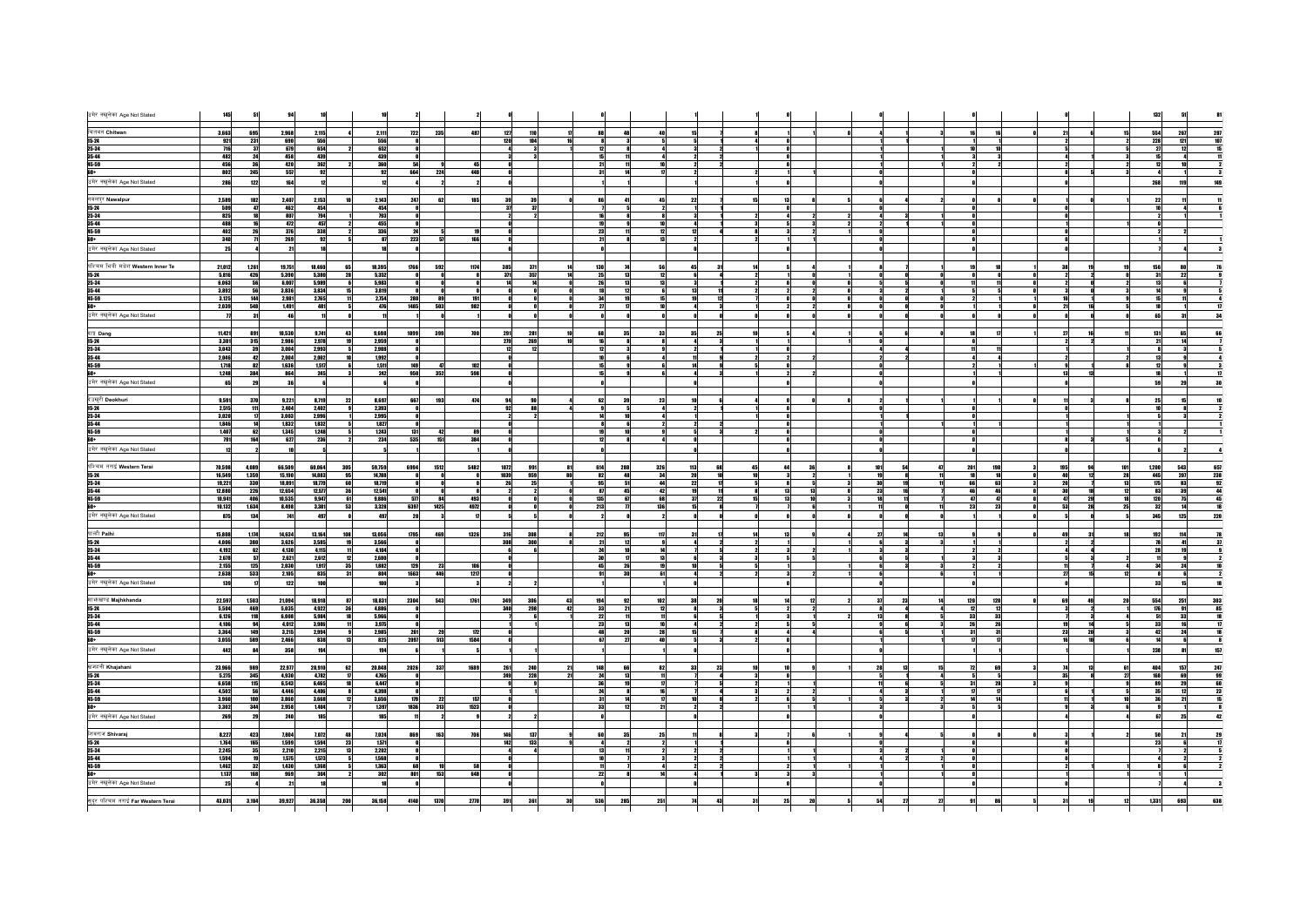| उमेर नखुलेका Age Not Stated               | 145                 |                    |                          |                  |           |                                |              |                    |              |                              |                                 |                |          |                |                      |                            |
|-------------------------------------------|---------------------|--------------------|--------------------------|------------------|-----------|--------------------------------|--------------|--------------------|--------------|------------------------------|---------------------------------|----------------|----------|----------------|----------------------|----------------------------|
| चितवन Chitwan                             | 3,663               | 695                | 2,968                    | 2,115            |           | 722<br>2,111                   | 235          | 487<br>127         | 110          | 48                           |                                 |                |          |                |                      | 554<br>267<br>287          |
| $15 - 24$                                 | 921                 | 231                | 690                      | 556              |           | 556                            |              | 120                | 104          |                              |                                 |                |          |                |                      | 228<br>121                 |
| 25-34                                     | 716                 | 37                 | 679                      | 654              |           | 652                            |              |                    |              |                              |                                 |                |          |                |                      | 12                         |
| 35-44                                     | 482                 | 24                 | 458                      | 439              |           | 439                            |              |                    |              |                              |                                 |                |          |                |                      |                            |
| 45-59<br>+0a                              | 456<br>802          | 36<br>245          | 420<br>557               | 362<br>92        |           | 360<br>92<br>664               | 224          | 45<br>448          |              |                              |                                 |                |          |                |                      | 18<br>12                   |
| उमेर नखुलेका Age Not Stated               | 286                 | 122                | 164                      | 12               |           | 12                             |              |                    |              |                              |                                 |                |          |                |                      | 268<br>119                 |
|                                           |                     |                    |                          |                  |           |                                |              |                    |              |                              |                                 |                |          |                |                      |                            |
| नवलपुर Nawalpur                           | 2,589               | 182                | 2,407                    | 2,153            |           | 2,143<br>247                   | 62           | 185                | 39           |                              |                                 |                |          |                |                      | $\boldsymbol{\eta}$        |
| $15 - 24$                                 | 509                 | 47                 | 462                      | 454              |           | 454                            |              |                    | 37           |                              |                                 |                |          |                |                      |                            |
| 25-34                                     | 825                 | 18                 | 807                      | 794              |           | 793<br>455                     |              |                    |              |                              |                                 |                |          |                |                      |                            |
| 35-44<br>45-59                            | 488<br>402          | 16<br>26           | 472<br>376               | 457<br>338       |           | 336<br>$\overline{\mathbf{z}}$ |              | 19                 |              |                              |                                 |                |          |                |                      |                            |
|                                           | 340                 | $\overline{1}$     | 269                      | 92               |           | 87<br>223                      |              | 166                |              |                              |                                 |                |          |                |                      |                            |
| <b>60+</b><br>उमेर नखुलेका Age Not Stated | 25                  |                    | 21                       |                  |           |                                |              |                    |              |                              |                                 |                |          |                |                      |                            |
| पश्चिम भित्री मधेश Western Inner Te       |                     |                    |                          |                  |           |                                |              |                    |              |                              |                                 |                |          |                |                      | 80                         |
| $15 - 24$                                 | 21,012<br>5,816     | 1,261<br>426       | 19,751<br>5,390          | 18,460<br>5,380  | 28        | 1766<br>18,395<br>5,352        | 592          | 1174<br>385<br>371 | 371<br>357   | 130                          | 31                              |                |          |                |                      | 156<br>22                  |
| 25-34                                     | 6,063               | 56                 | 6,007                    | 5,989            |           | 5,983                          |              |                    | 14           |                              |                                 |                |          |                |                      | 6                          |
| 35-44                                     | 3,892               | 56                 | 3,836                    | 3,834            |           | 3,819                          |              |                    |              |                              |                                 |                |          |                |                      |                            |
| 45-59                                     | 3,125               | 144                | 2,981                    | 2,765            |           | 2,754<br>280                   | 89           | 191                |              |                              | ${\bf 12}$                      |                |          |                |                      |                            |
| 60+                                       | 2,039               | 548                | 1,491                    | 481              |           | 1485<br>476                    | 503          | 982                |              |                              |                                 |                |          |                |                      |                            |
| उमेर नखुलेका Age Not Stated               | $\boldsymbol{\eta}$ |                    | 46                       |                  |           |                                |              |                    |              |                              |                                 |                |          |                |                      | ĥ.<br>31                   |
| दाङ्ग Dang                                | 11,421              | 891                | 10,530                   | 9,741            | 43        | 9,698<br>1099                  | 399          | 700<br>291         | 281          | 35<br>33                     | 25<br>35                        |                |          | $\mathbf{u}$   |                      | 65<br>131                  |
| $15 - 24$                                 | 3,301               | 315                | 2,986                    | 2,978            |           | 2,959                          |              | 279                | 269          |                              | $\bf{3}$                        |                |          |                |                      | $\overline{14}$            |
| 25-34                                     | 3,043               | 39                 | 3.004                    | 2.993            |           | 2.988                          |              |                    | 12           |                              |                                 |                |          | 11             |                      | - 31                       |
| 35-44                                     | 2,046               | 42                 | 2.004                    | 2,002            |           | 1,992                          |              |                    |              |                              |                                 |                |          |                |                      | 13                         |
| 45-59<br>60+                              | 1,718<br>1,248      | 82<br>384          | 1,636<br>864             | 1,517<br>245     |           | 1,511<br>149<br>950<br>242     | 352          | 102<br>598         |              |                              | 3                               |                |          |                | 13                   |                            |
| उमेर नखुलेका Age Not Stated               | 65                  | 29                 | 36                       |                  |           |                                |              |                    |              |                              |                                 |                |          |                |                      | 29<br>59                   |
|                                           |                     |                    |                          |                  |           |                                |              |                    |              |                              |                                 |                |          |                |                      |                            |
| देउखुरी Deokhuri                          | 9,591               | 370                | 9,221                    | 8,719            | 22        | 8,697<br>667                   | 193          | 474                |              |                              |                                 |                |          |                |                      | 15<br>25                   |
| $15 - 24$                                 | 2.515               | 111                | 2.404                    | 2.402            |           | 2.393                          |              |                    | 88           |                              |                                 |                |          |                |                      | -81                        |
| 25-34<br>35-44                            | 3,020<br>1,846      | $\mathbf{u}$<br>14 | 3,003<br>1,832           | 2,996<br>1,832   |           | 2,995<br>1,827                 |              |                    | $\mathbf{z}$ |                              |                                 |                |          |                |                      | - 31                       |
| 45-59                                     | 1,407               | 62                 | 1,345                    | 1248             |           | 1,243<br>131                   | 42           | 89                 |              |                              | $\overline{\mathbf{3}}$         |                |          |                |                      |                            |
| $60+$                                     | 791                 | 164                | 627                      | 236              |           | 234<br>535                     | 151          | 384                |              |                              |                                 |                |          |                |                      |                            |
| उमेर नखुलेका Age Not Stated               | 12                  |                    | 10                       |                  |           | - 5                            |              |                    |              |                              |                                 |                |          |                |                      |                            |
|                                           |                     |                    |                          |                  |           |                                |              |                    |              |                              |                                 |                |          |                |                      |                            |
|                                           |                     |                    |                          |                  |           |                                |              |                    |              |                              |                                 |                |          |                |                      |                            |
| पश्चिम तराई Western Terai                 | 70,598              | 4,089              | 66,509                   | 60,064           | 305       | 59,759<br>6994                 | 5482<br>1512 | 1072               | 991          | 288<br>614<br>326            | 112                             |                |          | 201<br>191     | 101<br>195           | 543                        |
| $15 - 24$                                 | 16,549              | 1,359              | 15,190                   | 14,883           | 95        | 14.788                         |              | 1039               | 959          | 34<br>82                     |                                 |                |          |                |                      | 1,200<br>445<br>207<br>238 |
| 25-34<br>35-44                            | 19,221<br>12,880    | 330<br>226         | 18,891<br>12,654         | 18,779<br>12,577 | 60<br>36  | 18,719<br>12,541               |              |                    | 25           | 51<br>45<br>87<br>42         | $\mathbf{n}$<br>11              | 13             | 23       | 63             | 20<br>30<br>18<br>12 | 175<br>83<br>83<br>39      |
| 45-59                                     | 10,941              | 406                | 10.535                   | 9,947            | 61        | 9,886<br>577                   | 84           | 493                | - Al         | 135<br>67<br>68              | 22<br>37                        |                |          | a7             | 29<br><b>A7</b>      | 75<br>120                  |
| 60+                                       | 10,132              | 1,634              | 8,498                    | 3,381            | 53        | 3,328<br>6397                  | 1425         | 4972               | $\bullet$    | 213<br>$\mathbf{u}$<br>136   | 15<br>8                         |                |          | 23<br>23       | 53<br>28<br>25       | 32<br>14                   |
| उमेर नखुलेका Age Not Stated               | 875                 | 134                | 741                      | 497              |           | 497<br>20                      |              | $\mathbf{u}$       | 5            |                              |                                 |                |          |                |                      | 345<br>125<br>220          |
|                                           |                     |                    |                          |                  |           |                                |              |                    |              |                              |                                 |                |          |                | $\overline{a}$       |                            |
| पाल्ही Palhi                              | 15,808<br>4.006     | 1,174<br>380       | 14,634<br>3.626          | 13,164<br>3,585  | 108<br>19 | 13,056<br>1795<br>3.566        | 469          | 1326<br>316<br>308 | 308<br>300l  | 212<br>95<br>117<br>21<br>12 | $\overline{\mathbf{z}}$         |                | зI       |                |                      | 192<br>114<br>78<br>41     |
| $15 - 24$<br>25-34                        | 4,192               | 62                 | 4,130                    | 4,115            |           | 4,104                          |              |                    | 6            | 10                           | 5                               |                | 3        |                |                      | 19<br>28                   |
|                                           | 2,678               | 57                 | 2.621                    | 2,612            |           | 2,600                          |              |                    |              | 17                           | 13<br>$\boldsymbol{\mathsf{3}}$ |                |          | 3              |                      | 9l                         |
| 35-44<br>45-59                            | 2,155               | 125                | 2,030                    | 1.917            | 35        | 1,882<br>129                   | - 23         | 106                |              | 26                           |                                 |                |          |                | 27<br>15             | 24<br>34<br>6              |
|                                           | 2,638               | 533                | 2,105                    | 835              |           | 804<br>1663                    | 446          | 1217               |              | 30                           |                                 |                |          |                |                      | 33                         |
| उमेर नखुलेका Age Not Stated               | 139                 | $\mathbf{u}$       | 122                      | 100              |           | 100                            |              |                    |              |                              |                                 |                |          |                |                      | 15                         |
| माफसण्ड Majhkhanda                        | 22.597              | 1,503              | 21,094                   | 18.918           |           | 18,831<br>2304                 | 543          | 1761<br>349        | 306<br>43    | 194<br>102<br>92             |                                 |                | 23       | 120<br>120     | 49<br>20<br>69       | 554<br>251<br>303          |
| $15 - 24$                                 | 5,504               | 469                | 5,035                    | 4,922            | 36        | 4,886                          |              | 340                | 298          | 42<br>33<br>21               | $\bf{3}$                        |                |          | 12<br>12       |                      | 176<br>91                  |
| 25-34                                     | 6,126               | 118                | 6,008                    | 5,984            |           | 5,966                          |              |                    |              |                              |                                 |                |          | 33<br>33<br>26 | 14                   | 33                         |
| 35-44<br>45-59                            | 4,106<br>3,364      | 94<br>149          | 4,012<br>3,215           | 3,986<br>2,994   |           | 3,975<br>2,985<br>201          | 29           | 172                |              | 13<br>20<br>28               | $\overline{\mathbf{z}}$         |                |          | 26<br>31<br>31 | 23<br>20             | 33<br>16<br>42<br>24       |
|                                           | 3,055               | 589                | 2,466                    | 838              | 13        | 825<br>2097                    | 513          | 1584               |              | 27                           |                                 |                |          | 17             |                      | 6                          |
| उमेर नखुलेका Age Not Stated               | 442                 | 84                 | 358                      | 194              |           | 194                            |              |                    |              |                              |                                 |                |          |                |                      | 238<br>81                  |
|                                           |                     |                    |                          |                  |           |                                |              |                    |              |                              |                                 |                |          |                |                      |                            |
| खजहनी Khajahani                           | 23,966              | 989                | 22,977                   | 20,910           | 62        | 20,848<br>2026                 | 337          | 1689<br>261        | 240          | 148<br>88<br>82              | 32<br>23                        |                |          | 69<br>72       |                      | 484<br>157                 |
| $15 - 24$<br>25-34                        | 5,275<br>6,658      | 345<br>115         | 4,930<br>6,543           | 4,782<br>6,465   |           | 4,765<br>6,447                 |              | 249                | 228          |                              |                                 |                |          | 28             |                      | 168<br>69<br>29            |
| 35-44                                     | 4,502               | 56                 | 4,446                    | 4,406            |           | 4,398                          |              |                    |              |                              |                                 |                |          | $\mathbf{n}$   |                      | 12                         |
| 45-59                                     | 3,960               | 100                | 3,860                    | 3,668            |           | 3,656<br>179                   | 22           | 157                |              |                              |                                 |                |          |                |                      | 21                         |
|                                           | 3,302               | 344                | 2,958                    | 1,404            |           | 1836<br>1,397                  | 313          | 1523               |              |                              |                                 |                |          |                |                      |                            |
| उमेर नखुलेका Age Not Stated               | 269                 | 29                 | 248                      | 185              |           | 185                            |              |                    |              |                              |                                 |                |          |                |                      | 25                         |
| शिवराज Shivarai                           |                     |                    |                          |                  |           |                                |              | 146                |              |                              |                                 |                |          |                |                      |                            |
| $15 - 24$                                 | 8,227<br>1,764      | 423<br>165         | 7,804<br>1,599           | 7,072<br>1,594   | 23        | 7,024<br>869<br>1,571          | 163          | 706<br>142         | 137<br>133   |                              |                                 |                |          |                |                      | 21<br>23                   |
| 25-34                                     | 2,245               | 35                 | 2,210                    | 2,215            |           | 2,202                          |              |                    |              |                              | $\overline{\mathbf{z}}$         |                |          |                |                      |                            |
| 35-44                                     | 1,594               | 19                 | 1,575                    | 1,573            |           | 1,568                          |              |                    |              |                              | $\overline{\mathbf{z}}$         |                |          |                |                      |                            |
| 45-59                                     | 1,462               | 32<br>168          | 1,430<br>969             | 1,368<br>304     |           | 1,363<br>68<br>801             | 153          | 58                 |              |                              |                                 |                |          |                |                      |                            |
|                                           | 1,137<br>25         |                    | 21                       |                  |           | 302<br>18                      |              | 648                |              |                              |                                 |                |          |                |                      |                            |
| उमेर नखुलेका Age Not Stated               |                     |                    |                          |                  |           |                                |              |                    |              |                              |                                 |                |          |                |                      |                            |
| सुदूर पश्चिम तराई Far Western Terai       |                     | 43,031 3,104       | 39,927<br>$\blacksquare$ | 36,358           | 200       | 36,158<br>4140                 | 1370         | 2770<br>391        | 361<br>30    | 536<br>285<br>251            | 43<br>74                        | 31<br>20<br>25 | 54<br>27 | 86<br>91       |                      | 638<br>12<br>1,331<br>693  |